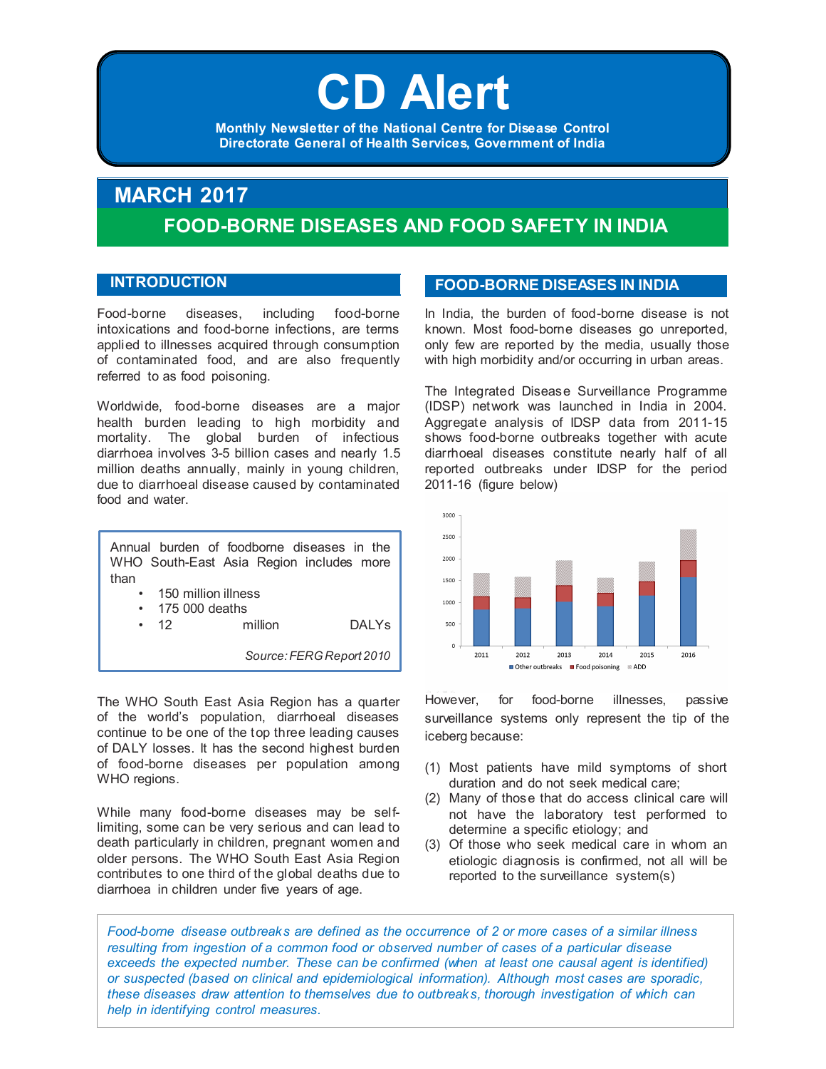# CD Alert **CD Alert**

**Monthly Newsletter of National Centre for Disease Control Monthly Newsletter of the National Centre for Disease Control** Directorate General of Health Services, Government of India **Directorate General of Health Services, Government of India**

## **MARCH 2017 FOOD-BORNE DISEASES AND FOOD SAFETY IN INDIA**

#### **INTRODUCTION**

Food-borne diseases, including food-borne intoxications and food-borne infections, are terms applied to illnesses acquired through consumption of contaminated food, and are also frequently referred to as food poisoning.

Worldwide, food-borne diseases are a major health burden leading to high morbidity and mortality. The global burden of infectious diarrhoea involves 3-5 billion cases and nearly 1.5 million deaths annually, mainly in young children, due to diarrhoeal disease caused by contaminated food and water.

Annual burden of foodborne diseases in the WHO South-East Asia Region includes more than 150 million illness • 175 000 deaths

12 million DALYs

*Source: FERG Report 2010*

The WHO South East Asia Region has a quarter of the world's population, diarrhoeal diseases continue to be one of the top three leading causes of DALY losses. It has the second highest burden of food-borne diseases per population among WHO regions.

While many food-borne diseases may be selflimiting, some can be very serious and can lead to death particularly in children, pregnant women and older persons. The WHO South East Asia Region contributes to one third of the global deaths due to diarrhoea in children under five years of age.

### **FOOD-BORNE DISEASES IN INDIA**

In India, the burden of food-borne disease is not known. Most food-borne diseases go unreported, only few are reported by the media, usually those with high morbidity and/or occurring in urban areas.

The Integrated Disease Surveillance Programme (IDSP) network was launched in India in 2004. Aggregate analysis of IDSP data from 2011-15 shows food-borne outbreaks together with acute diarrhoeal diseases constitute nearly half of all reported outbreaks under IDSP for the period 2011-16 (figure below)



However, for food-borne illnesses, passive surveillance systems only represent the tip of the iceberg because:

- (1) Most patients have mild symptoms of short duration and do not seek medical care;
- (2) Many of those that do access clinical care will not have the laboratory test performed to determine a specific etiology; and
- (3) Of those who seek medical care in whom an etiologic diagnosis is confirmed, not all will be reported to the surveillance system(s)

*Food-borne disease outbreaks are defined as the occurrence of 2 or more cases of a similar illness resulting from ingestion of a common food or observed number of cases of a particular disease*  exceeds the expected number. These can be confirmed (when at least one causal agent is identified) *or suspected (based on clinical and epidemiological information). Although most cases are sporadic, these diseases draw attention to themselves due to outbreaks, thorough investigation of which can help in identifying control measures.*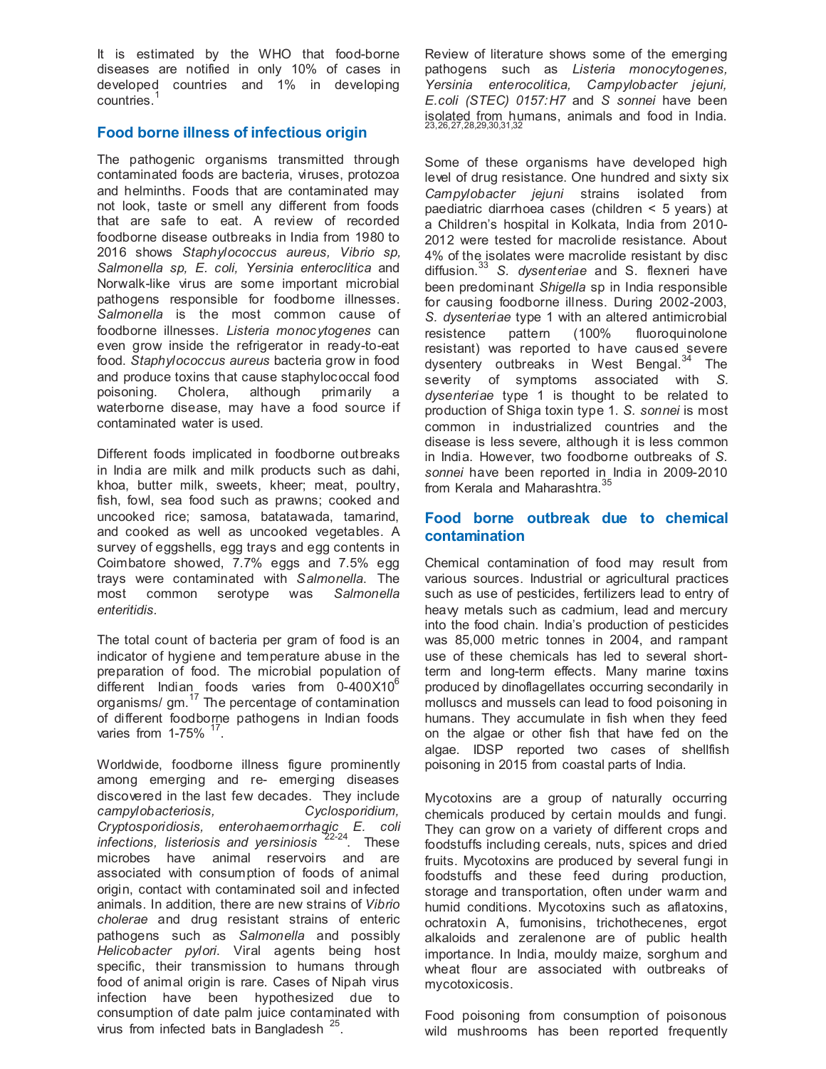It is estimated by the WHO that food-borne diseases are notified in only 10% of cases in developed countries and 1% in developing countries.<sup>1</sup>

#### **Food borne illness of infectious origin**

The pathogenic organisms transmitted through contaminated foods are bacteria, viruses, protozoa and helminths. Foods that are contaminated may not look, taste or smell any different from foods that are safe to eat. A review of recorded foodborne disease outbreaks in India from 1980 to 2016 shows *Staphylococcus aureus, Vibrio sp, Salmonella sp, E. coli, Yersinia enteroclitica* and Norwalk-like virus are some important microbial pathogens responsible for foodborne illnesses. *Salmonella* is the most common cause of foodborne illnesses. *Listeria monocytogenes* can even grow inside the refrigerator in ready-to-eat food. *Staphylococcus aureus* bacteria grow in food and produce toxins that cause staphylococcal food<br>poisoning. Cholera, although primarily a poisoning. Cholera, although primarily a waterborne disease, may have a food source if contaminated water is used.

Different foods implicated in foodborne outbreaks in India are milk and milk products such as dahi, khoa, butter milk, sweets, kheer; meat, poultry, fish, fowl, sea food such as prawns; cooked and uncooked rice; samosa, batatawada, tamarind, and cooked as well as uncooked vegetables. A survey of eggshells, egg trays and egg contents in Coimbatore showed, 7.7% eggs and 7.5% egg trays were contaminated with *Salmonella*. The most common serotype was *Salmonella enteritidis.*

The total count of bacteria per gram of food is an indicator of hygiene and temperature abuse in the preparation of food. The microbial population of different Indian foods varies from  $0-400X10^6$ organisms/ gm.<sup>17</sup> The percentage of contamination of different foodborne pathogens in Indian foods varies from 1-75% <sup>17</sup>

Worldwide, foodborne illness figure prominently among emerging and re- emerging diseases discovered in the last few decades. They include *campylobacteriosis, Cyclosporidium, Cryptosporidiosis, enterohaemorrhagic E. coli infections, listeriosis and yersiniosis* 22-24. These microbes have animal reservoirs and are associated with consumption of foods of animal origin, contact with contaminated soil and infected animals. In addition, there are new strains of *Vibrio cholerae* and drug resistant strains of enteric pathogens such as *Salmonella* and possibly *Helicobacter pylori*. Viral agents being host specific, their transmission to humans through food of animal origin is rare. Cases of Nipah virus infection have been hypothesized due to consumption of date palm juice contaminated with virus from infected bats in Bangladesh 25.

Review of literature shows some of the emerging pathogens such as *Listeria monocytogenes, Yersinia enterocolitica, Campylobacter jejuni, E.coli (STEC) 0157:H7* and *S sonnei* have been isolated from humans, animals and food in India. 23,26,27,28,29,30,31,32

Some of these organisms have developed high level of drug resistance. One hundred and sixty six *Campylobacter jejuni* strains isolated from paediatric diarrhoea cases (children < 5 years) at a Children's hospital in Kolkata, India from 2010- 2012 were tested for macrolide resistance. About 4% of the isolates were macrolide resistant by disc diffusion.<sup>33</sup> *S. dysenteriae* and S. flexneri have been predominant *Shigella* sp in India responsible for causing foodborne illness. During 2002-2003, *S. dysenteriae* type 1 with an altered antimicrobial resistence pattern (100% fluoroquinolone resistant) was reported to have caused severe dysentery outbreaks in West Bengal.<sup>34</sup> The severity of symptoms associated with *S. dysenteriae* type 1 is thought to be related to production of Shiga toxin type 1. *S. sonnei* is most common in industrialized countries and the disease is less severe, although it is less common in India. However, two foodborne outbreaks of *S. sonnei* have been reported in India in 2009-2010 from Kerala and Maharashtra.<sup>35</sup>

#### **Food borne outbreak due to chemical contamination**

Chemical contamination of food may result from various sources. Industrial or agricultural practices such as use of pesticides, fertilizers lead to entry of heavy metals such as cadmium, lead and mercury into the food chain. India's production of pesticides was 85,000 metric tonnes in 2004, and rampant use of these chemicals has led to several shortterm and long-term effects. Many marine toxins produced by dinoflagellates occurring secondarily in molluscs and mussels can lead to food poisoning in humans. They accumulate in fish when they feed on the algae or other fish that have fed on the algae. IDSP reported two cases of shellfish poisoning in 2015 from coastal parts of India.

Mycotoxins are a group of naturally occurring chemicals produced by certain moulds and fungi. They can grow on a variety of different crops and foodstuffs including cereals, nuts, spices and dried fruits. Mycotoxins are produced by several fungi in foodstuffs and these feed during production, storage and transportation, often under warm and humid conditions. Mycotoxins such as aflatoxins, ochratoxin A, fumonisins, trichothecenes, ergot alkaloids and zeralenone are of public health importance. In India, mouldy maize, sorghum and wheat flour are associated with outbreaks of mycotoxicosis.

Food poisoning from consumption of poisonous wild mushrooms has been reported frequently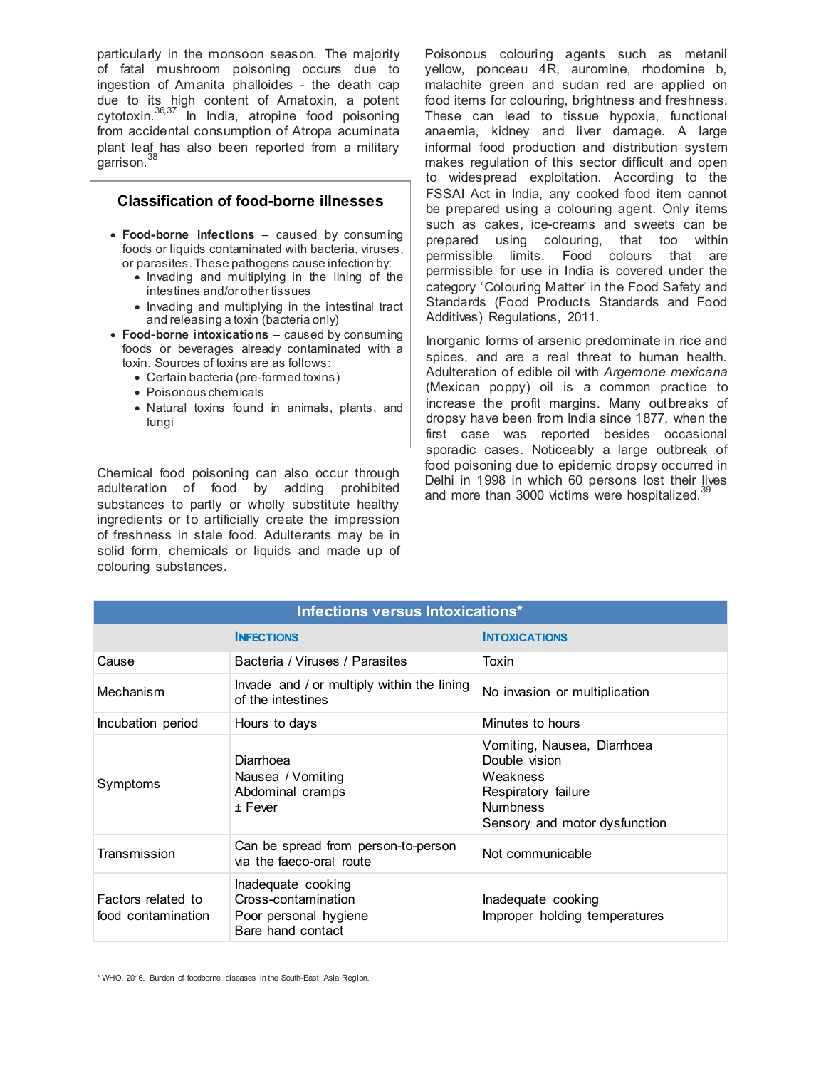particularly in the monsoon season. The majority of fatal mushroom poisoning occurs due to ingestion of Amanita phalloides - the death cap due to its high content of Amatoxin, a potent cytotoxin.<sup>36,37</sup> In India, atropine food poisoning from accidental consumption of Atropa acuminata plant leaf has also been reported from a military garrison.<sup>38</sup>

#### **Classification of food-borne illnesses**

- **Food-borne infections** caused by consuming foods or liquids contaminated with bacteria, viruses, or parasites. These pathogens cause infection by:
	- Invading and multiplying in the lining of the intestines and/or other tissues
	- Invading and multiplying in the intestinal tract and releasing a toxin (bacteria only)
- **Food-borne intoxications** caused by consuming foods or beverages already contaminated with a toxin. Sources of toxins are as follows:
	- Certain bacteria (pre-formed toxins)
	- Poisonous chemicals
	- Natural toxins found in animals, plants, and fungi

Chemical food poisoning can also occur through adulteration of food by adding prohibited substances to partly or wholly substitute healthy ingredients or to artificially create the impression of freshness in stale food. Adulterants may be in solid form, chemicals or liquids and made up of colouring substances.

Poisonous colouring agents such as metanil yellow, ponceau 4R, auromine, rhodomine b, malachite green and sudan red are applied on food items for colouring, brightness and freshness. These can lead to tissue hypoxia, functional anaemia, kidney and liver damage. A large informal food production and distribution system makes regulation of this sector difficult and open to widespread exploitation. According to the FSSAI Act in India, any cooked food item cannot be prepared using a colouring agent. Only items such as cakes, ice-creams and sweets can be prepared using colouring, that too within permissible limits. Food colours that are permissible for use in India is covered under the category 'Colouring Matter' in the Food Safety and Standards (Food Products Standards and Food Additives) Regulations, 2011.

Inorganic forms of arsenic predominate in rice and spices, and are a real threat to human health. Adulteration of edible oil with *Argemone mexicana* (Mexican poppy) oil is a common practice to increase the profit margins. Many outbreaks of dropsy have been from India since 1877, when the first case was reported besides occasional sporadic cases. Noticeably a large outbreak of food poisoning due to epidemic dropsy occurred in Delhi in 1998 in which 60 persons lost their lives and more than 3000 victims were hospitalized.<sup>3</sup>

| Infections versus Intoxications*          |                                                                                         |                                                                                                                                     |  |  |  |
|-------------------------------------------|-----------------------------------------------------------------------------------------|-------------------------------------------------------------------------------------------------------------------------------------|--|--|--|
| <b>INTOXICATIONS</b><br><b>INFECTIONS</b> |                                                                                         |                                                                                                                                     |  |  |  |
| Cause                                     | Bacteria / Viruses / Parasites                                                          | Toxin                                                                                                                               |  |  |  |
| Mechanism                                 | Invade and / or multiply within the lining<br>of the intestines                         | No invasion or multiplication                                                                                                       |  |  |  |
| Incubation period                         | Hours to days                                                                           | Minutes to hours                                                                                                                    |  |  |  |
| Symptoms                                  | Diarrhoea<br>Nausea / Vomiting<br>Abdominal cramps<br>+ Fever                           | Vomiting, Nausea, Diarrhoea<br>Double vision<br>Weakness<br>Respiratory failure<br><b>Numbness</b><br>Sensory and motor dysfunction |  |  |  |
| Transmission                              | Can be spread from person-to-person<br>via the faeco-oral route                         | Not communicable                                                                                                                    |  |  |  |
| Factors related to<br>food contamination  | Inadequate cooking<br>Cross-contamination<br>Poor personal hygiene<br>Bare hand contact | Inadequate cooking<br>Improper holding temperatures                                                                                 |  |  |  |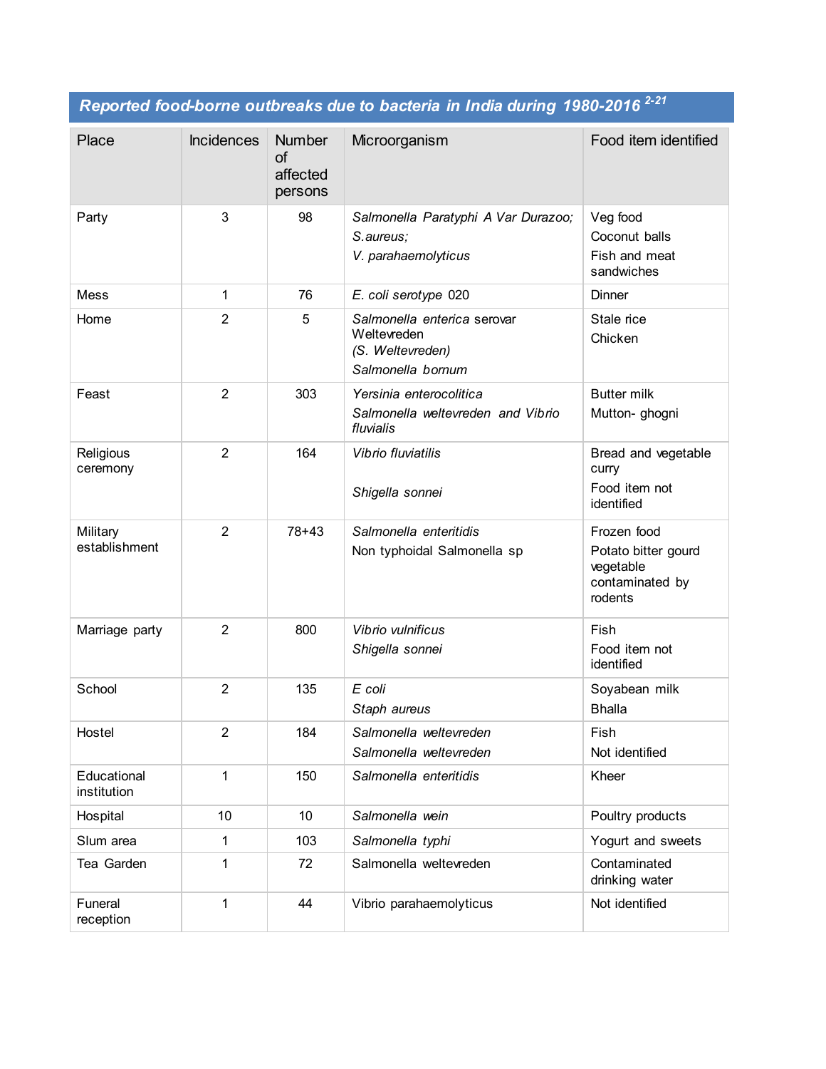*Reported food-borne outbreaks due to bacteria in India during 1980-2016 2-21*

| Place                      | <b>Incidences</b> | <b>Number</b><br><b>of</b><br>affected<br>persons | Microorganism                                                                       | Food item identified                                                          |
|----------------------------|-------------------|---------------------------------------------------|-------------------------------------------------------------------------------------|-------------------------------------------------------------------------------|
| Party                      | 3                 | 98                                                | Salmonella Paratyphi A Var Durazoo;<br>S.aureus;<br>V. parahaemolyticus             | Veg food<br>Coconut balls<br>Fish and meat<br>sandwiches                      |
| Mess                       | 1                 | 76                                                | E. coli serotype 020                                                                | Dinner                                                                        |
| Home                       | $\overline{2}$    | 5                                                 | Salmonella enterica serovar<br>Weltevreden<br>(S. Weltevreden)<br>Salmonella bornum | Stale rice<br>Chicken                                                         |
| Feast                      | $\overline{2}$    | 303                                               | Yersinia enterocolitica<br>Salmonella weltevreden and Vibrio<br>fluvialis           | <b>Butter milk</b><br>Mutton- ghogni                                          |
| Religious<br>ceremony      | $\overline{2}$    | 164                                               | Vibrio fluviatilis<br>Shigella sonnei                                               | Bread and vegetable<br>curry<br>Food item not<br>identified                   |
| Military<br>establishment  | $\overline{2}$    | $78 + 43$                                         | Salmonella enteritidis<br>Non typhoidal Salmonella sp                               | Frozen food<br>Potato bitter gourd<br>vegetable<br>contaminated by<br>rodents |
| Marriage party             | $\overline{2}$    | 800                                               | Vibrio vulnificus<br>Shigella sonnei                                                | Fish<br>Food item not<br>identified                                           |
| School                     | $\overline{2}$    | 135                                               | E coli<br>Staph aureus                                                              | Soyabean milk<br><b>Bhalla</b>                                                |
| Hostel                     | 2                 | 184                                               | Salmonella weltevreden<br>Salmonella weltevreden                                    | Fish<br>Not identified                                                        |
| Educational<br>institution | 1                 | 150                                               | Salmonella enteritidis                                                              | Kheer                                                                         |
| Hospital                   | 10                | 10                                                | Salmonella wein                                                                     | Poultry products                                                              |
| Slum area                  | 1                 | 103                                               | Salmonella typhi                                                                    | Yogurt and sweets                                                             |
| Tea Garden                 | 1                 | 72                                                | Salmonella weltevreden                                                              | Contaminated<br>drinking water                                                |
| Funeral<br>reception       | 1                 | 44                                                | Vibrio parahaemolyticus                                                             | Not identified                                                                |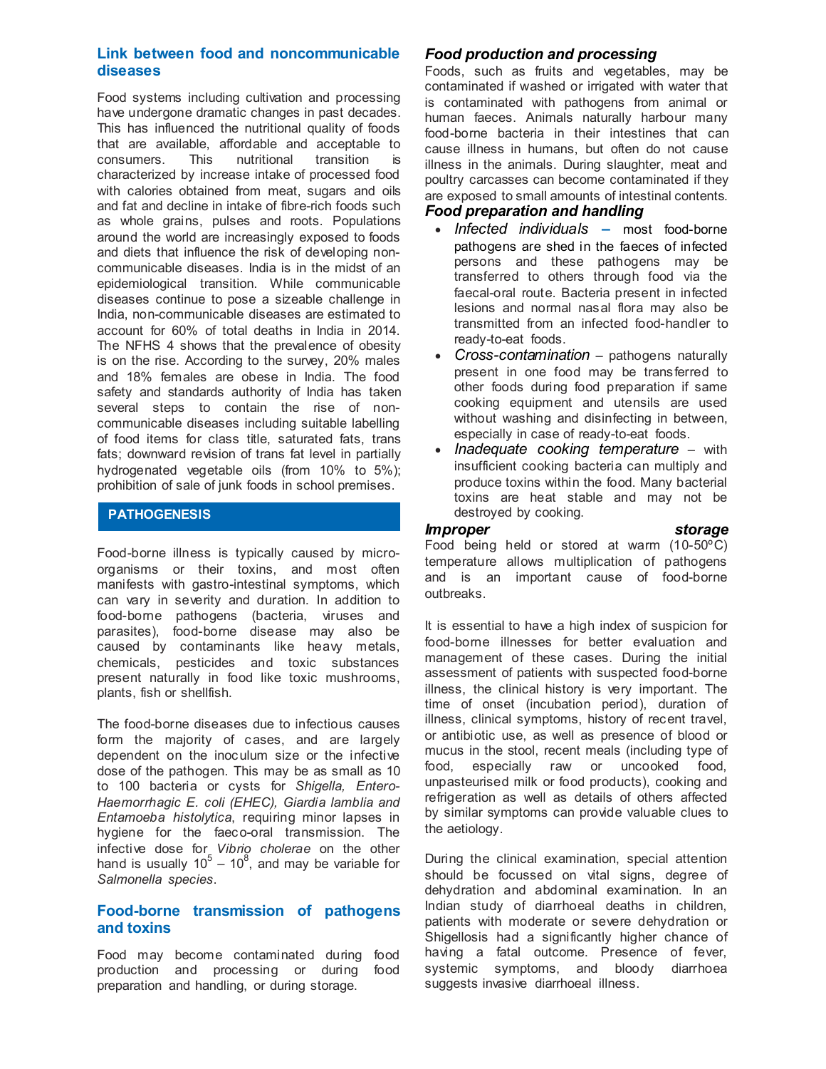#### **Link between food and noncommunicable diseases**

Food systems including cultivation and processing have undergone dramatic changes in past decades. This has influenced the nutritional quality of foods that are available, affordable and acceptable to consumers. This nutritional transition is characterized by increase intake of processed food with calories obtained from meat, sugars and oils and fat and decline in intake of fibre-rich foods such as whole grains, pulses and roots. Populations around the world are increasingly exposed to foods and diets that influence the risk of developing noncommunicable diseases. India is in the midst of an epidemiological transition. While communicable diseases continue to pose a sizeable challenge in India, non-communicable diseases are estimated to account for 60% of total deaths in India in 2014. The NFHS 4 shows that the prevalence of obesity is on the rise. According to the survey, 20% males and 18% females are obese in India. The food safety and standards authority of India has taken several steps to contain the rise of noncommunicable diseases including suitable labelling of food items for class title, saturated fats, trans fats; downward revision of trans fat level in partially hydrogenated vegetable oils (from 10% to 5%); prohibition of sale of junk foods in school premises.

#### **PATHOGENESIS**

Food-borne illness is typically caused by microorganisms or their toxins, and most often manifests with gastro-intestinal symptoms, which can vary in severity and duration. In addition to food-borne pathogens (bacteria, viruses and parasites), food-borne disease may also be caused by contaminants like heavy metals, chemicals, pesticides and toxic substances present naturally in food like toxic mushrooms, plants, fish or shellfish.

The food-borne diseases due to infectious causes form the majority of cases, and are largely dependent on the inoculum size or the infective dose of the pathogen. This may be as small as 10 to 100 bacteria or cysts for *Shigella, Entero-Haemorrhagic E. coli (EHEC), Giardia lamblia and Entamoeba histolytica*, requiring minor lapses in hygiene for the faeco-oral transmission. The infective dose for *Vibrio cholerae* on the other hand is usually  $10^5 - 10^8$ , and may be variable for *Salmonella species*.

#### **Food-borne transmission of pathogens and toxins**

Food may become contaminated during food production and processing or during food preparation and handling, or during storage.

#### *Food production and processing*

Foods, such as fruits and vegetables, may be contaminated if washed or irrigated with water that is contaminated with pathogens from animal or human faeces. Animals naturally harbour many food-borne bacteria in their intestines that can cause illness in humans, but often do not cause illness in the animals. During slaughter, meat and poultry carcasses can become contaminated if they are exposed to small amounts of intestinal contents.

#### *Food preparation and handling*

- *Infected individuals* **–** most food-borne pathogens are shed in the faeces of infected persons and these pathogens may be transferred to others through food via the faecal-oral route. Bacteria present in infected lesions and normal nasal flora may also be transmitted from an infected food-handler to ready-to-eat foods.
- *Cross-contamination* pathogens naturally present in one food may be transferred to other foods during food preparation if same cooking equipment and utensils are used without washing and disinfecting in between, especially in case of ready-to-eat foods.
- *Inadequate cooking temperature* with insufficient cooking bacteria can multiply and produce toxins within the food. Many bacterial toxins are heat stable and may not be destroyed by cooking.

#### *Improper storage*

Food being held or stored at warm (10-50ºC) temperature allows multiplication of pathogens and is an important cause of food-borne outbreaks.

It is essential to have a high index of suspicion for food-borne illnesses for better evaluation and management of these cases. During the initial assessment of patients with suspected food-borne illness, the clinical history is very important. The time of onset (incubation period), duration of illness, clinical symptoms, history of recent travel, or antibiotic use, as well as presence of blood or mucus in the stool, recent meals (including type of food, especially raw or uncooked food, unpasteurised milk or food products), cooking and refrigeration as well as details of others affected by similar symptoms can provide valuable clues to the aetiology.

During the clinical examination, special attention should be focussed on vital signs, degree of dehydration and abdominal examination. In an Indian study of diarrhoeal deaths in children, patients with moderate or severe dehydration or Shigellosis had a significantly higher chance of having a fatal outcome. Presence of fever, systemic symptoms, and bloody diarrhoea suggests invasive diarrhoeal illness.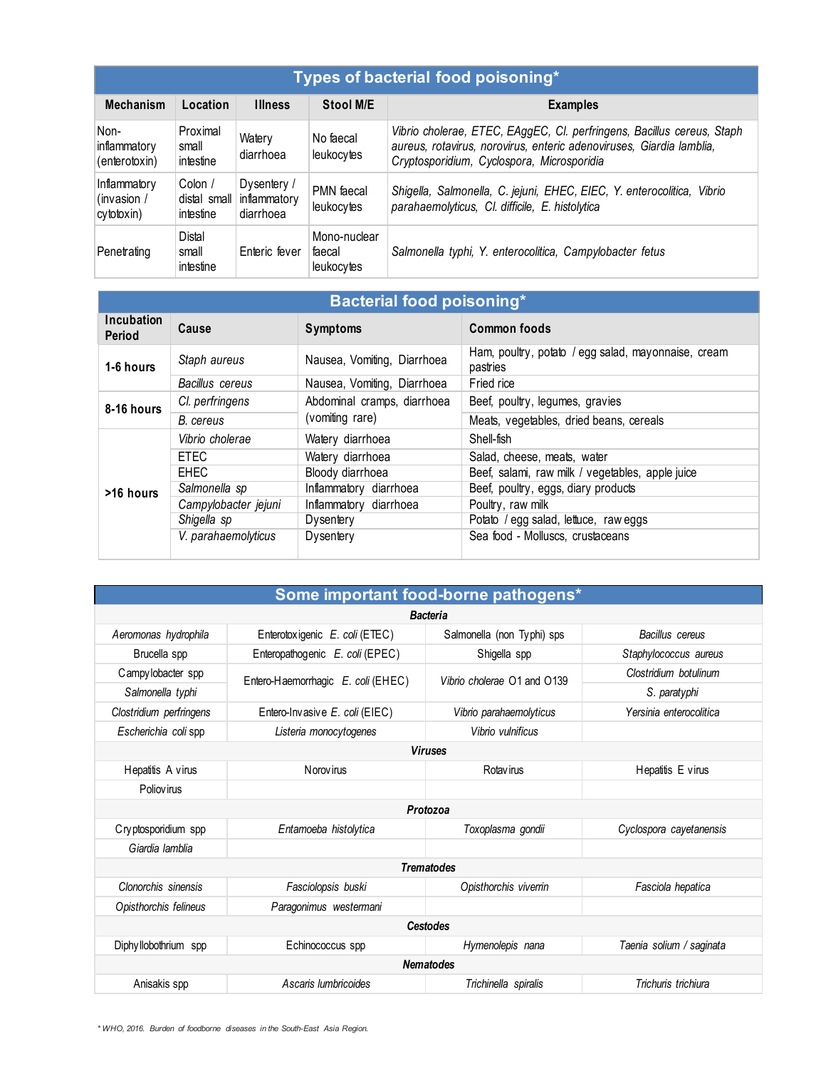| Types of bacterial food poisoning*                                             |                                     |                                                       |                                      |                                                                                                                                                                                              |  |  |
|--------------------------------------------------------------------------------|-------------------------------------|-------------------------------------------------------|--------------------------------------|----------------------------------------------------------------------------------------------------------------------------------------------------------------------------------------------|--|--|
| <b>Mechanism</b><br>Location<br>Stool M/E<br><b>Illness</b><br><b>Examples</b> |                                     |                                                       |                                      |                                                                                                                                                                                              |  |  |
| Non-<br>inflammatory<br>(enterotoxin)                                          | Proximal<br>small<br>intestine      | Watery<br>diarrhoea                                   | No faecal<br>leukocytes              | Vibrio cholerae, ETEC, EAggEC, Cl. perfringens, Bacillus cereus, Staph<br>aureus, rotavirus, norovirus, enteric adenoviruses, Giardia lamblia,<br>Cryptosporidium, Cyclospora, Microsporidia |  |  |
| Inflammatory<br>(invasion /<br>cytotoxin)                                      | Colon /<br>intestine                | Dysentery /<br>distal small inflammatory<br>diarrhoea | PMN faecal<br>leukocytes             | Shigella, Salmonella, C. jejuni, EHEC, EIEC, Y. enterocolitica, Vibrio<br>parahaemolyticus, Cl. difficile, E. histolytica                                                                    |  |  |
| Penetrating                                                                    | <b>Distal</b><br>small<br>intestine | Enteric fever                                         | Mono-nuclear<br>faecal<br>leukocytes | Salmonella typhi, Y. enterocolitica, Campylobacter fetus                                                                                                                                     |  |  |

| <b>Bacterial food poisoning*</b> |                      |                             |                                                                 |  |  |
|----------------------------------|----------------------|-----------------------------|-----------------------------------------------------------------|--|--|
| <b>Incubation</b><br>Period      | Cause                | <b>Symptoms</b>             | <b>Common foods</b>                                             |  |  |
| 1-6 hours                        | Staph aureus         | Nausea, Vomiting, Diarrhoea | Ham, poultry, potato / egg salad, mayonnaise, cream<br>pastries |  |  |
|                                  | Bacillus cereus      | Nausea, Vomiting, Diarrhoea | Fried rice                                                      |  |  |
| 8-16 hours                       | Cl. perfringens      | Abdominal cramps, diarrhoea | Beef, poultry, legumes, gravies                                 |  |  |
|                                  | B. cereus            | (vomiting rare)             | Meats, vegetables, dried beans, cereals                         |  |  |
|                                  | Vibrio cholerae      | Watery diarrhoea            | Shell-fish                                                      |  |  |
|                                  | <b>ETEC</b>          | Watery diarrhoea            | Salad, cheese, meats, water                                     |  |  |
|                                  | <b>EHEC</b>          | Bloody diarrhoea            | Beef, salami, raw milk / vegetables, apple juice                |  |  |
| >16 hours                        | Salmonella sp        | Inflammatory diarrhoea      | Beef, poultry, eggs, diary products                             |  |  |
|                                  | Campylobacter jejuni | Inflammatory diarrhoea      | Poultry, raw milk                                               |  |  |
|                                  | Shigella sp          | Dysentery                   | Potato / egg salad, lettuce, raw eggs                           |  |  |
|                                  | V. parahaemolyticus  | Dysentery                   | Sea food - Molluscs, crustaceans                                |  |  |

| Some important food-borne pathogens*                                                                    |                                    |                             |                          |  |  |  |
|---------------------------------------------------------------------------------------------------------|------------------------------------|-----------------------------|--------------------------|--|--|--|
|                                                                                                         | <b>Bacteria</b>                    |                             |                          |  |  |  |
| Aeromonas hydrophila<br>Enterotoxigenic E. coli (ETEC)<br>Salmonella (non Typhi) sps<br>Bacillus cereus |                                    |                             |                          |  |  |  |
| Brucella spp                                                                                            | Staphylococcus aureus              |                             |                          |  |  |  |
| Campy lobacter spp                                                                                      | Clostridium botulinum              |                             |                          |  |  |  |
| Salmonella typhi                                                                                        | Entero-Haemorrhagic E. coli (EHEC) | Vibrio cholerae O1 and O139 | S. paratyphi             |  |  |  |
| Clostridium perfringens                                                                                 | Entero-Invasive E. coli (EIEC)     | Vibrio parahaemolyticus     | Yersinia enterocolitica  |  |  |  |
| Escherichia coli spp                                                                                    | Listeria monocytogenes             | Vibrio vulnificus           |                          |  |  |  |
|                                                                                                         |                                    | <b>Viruses</b>              |                          |  |  |  |
| Hepatitis A virus<br>N orov irus<br><b>Rotavirus</b>                                                    |                                    |                             | Hepatitis E virus        |  |  |  |
| <b>Poliovirus</b>                                                                                       |                                    |                             |                          |  |  |  |
|                                                                                                         |                                    | Protozoa                    |                          |  |  |  |
| Cryptosporidium spp                                                                                     | Entamoeba histolytica              | Toxoplasma gondii           | Cyclospora cayetanensis  |  |  |  |
| Giardia lamblia                                                                                         |                                    |                             |                          |  |  |  |
|                                                                                                         |                                    | <b>Trematodes</b>           |                          |  |  |  |
| Clonorchis sinensis                                                                                     | Fasciolopsis buski                 | Opisthorchis viverrin       | Fasciola hepatica        |  |  |  |
| Opisthorchis felineus                                                                                   | Paragonimus westermani             |                             |                          |  |  |  |
| <b>Cestodes</b>                                                                                         |                                    |                             |                          |  |  |  |
| Diphyllobothrium spp                                                                                    | Echinococcus spp                   | Hymenolepis nana            | Taenia solium / saginata |  |  |  |
| <b>Nematodes</b>                                                                                        |                                    |                             |                          |  |  |  |
| Anisakis spp                                                                                            | Ascaris lumbricoides               | Trichinella spiralis        | Trichuris trichiura      |  |  |  |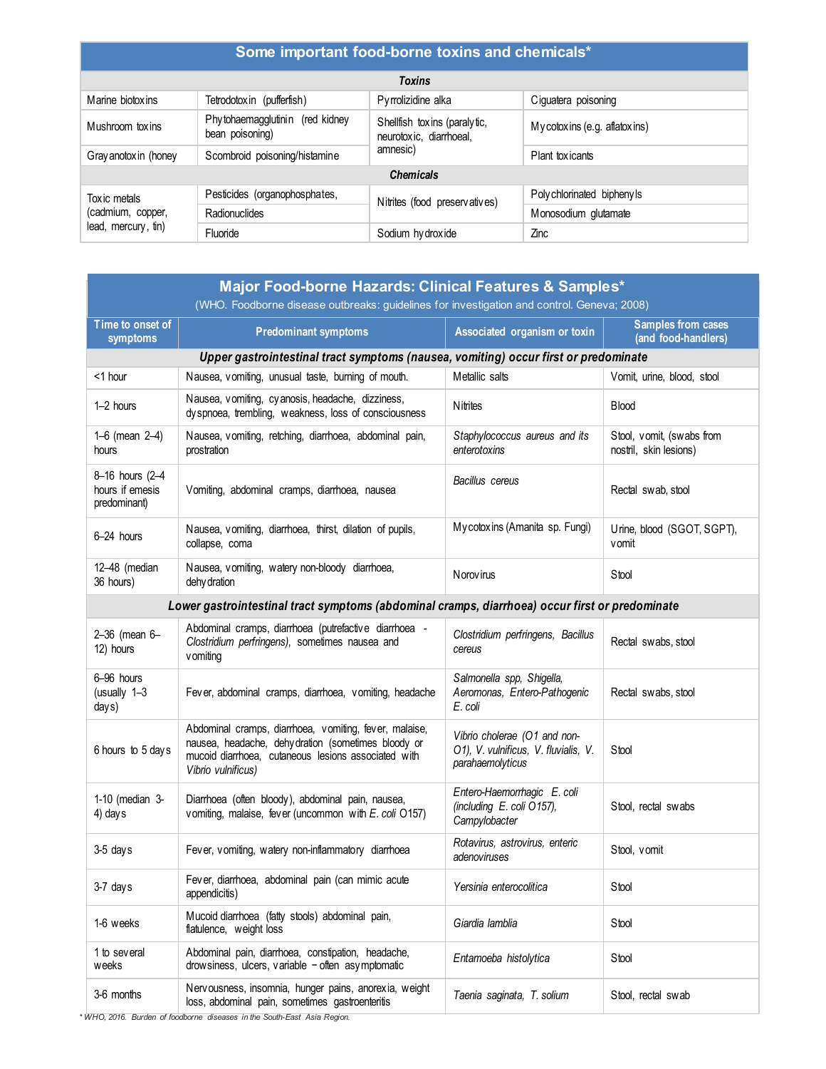| Some important food-borne toxins and chemicals*                                              |                                                    |                                                         |                               |  |
|----------------------------------------------------------------------------------------------|----------------------------------------------------|---------------------------------------------------------|-------------------------------|--|
|                                                                                              |                                                    | <b>Toxins</b>                                           |                               |  |
| Marine biotox ins<br>Tetrodotox in (pufferfish)<br>Pyrrolizidine alka<br>Ciguatera poisoning |                                                    |                                                         |                               |  |
| Mushroom toxins                                                                              | Phytohaemagglutinin (red kidney<br>bean poisoning) | Shellfish toxins (paralytic,<br>neurotoxic, diarrhoeal, | My cotoxins (e.g. aflatoxins) |  |
| Gray anotox in (honey                                                                        | Scombroid poisoning/histamine                      | amnesic)                                                | Plant toxicants               |  |
|                                                                                              |                                                    | <b>Chemicals</b>                                        |                               |  |
| Tox ic metals<br>(cadmium, copper,<br>lead, mercury, tin)                                    | Pesticides (organophosphates,                      | Nitrites (food preservatives)                           | Poly chlorinated bipheny Is   |  |
|                                                                                              | Radionuclides                                      |                                                         | Monosodium glutamate          |  |
|                                                                                              | Fluoride                                           | Sodium hydroxide                                        | Zinc                          |  |

| Major Food-borne Hazards: Clinical Features & Samples*                                     |                                                                                                                                                                                           |                                                                                          |                                                     |  |  |  |  |  |
|--------------------------------------------------------------------------------------------|-------------------------------------------------------------------------------------------------------------------------------------------------------------------------------------------|------------------------------------------------------------------------------------------|-----------------------------------------------------|--|--|--|--|--|
| (WHO. Foodborne disease outbreaks: guidelines for investigation and control. Geneva; 2008) |                                                                                                                                                                                           |                                                                                          |                                                     |  |  |  |  |  |
| Time to onset of<br>symptoms                                                               | <b>Predominant symptoms</b>                                                                                                                                                               | Associated organism or toxin                                                             | <b>Samples from cases</b><br>(and food-handlers)    |  |  |  |  |  |
| Upper gastrointestinal tract symptoms (nausea, vomiting) occur first or predominate        |                                                                                                                                                                                           |                                                                                          |                                                     |  |  |  |  |  |
| <1 hour                                                                                    | Nausea, vomiting, unusual taste, burning of mouth.                                                                                                                                        | Metallic salts                                                                           | Vomit, urine, blood, stool                          |  |  |  |  |  |
| 1-2 hours                                                                                  | Nausea, vomiting, cyanosis, headache, dizziness,<br>dyspnoea, trembling, weakness, loss of consciousness                                                                                  | <b>N</b> itrites                                                                         | <b>Blood</b>                                        |  |  |  |  |  |
| 1–6 (mean $2-4$ )<br>hours                                                                 | Nausea, vomiting, retching, diarrhoea, abdominal pain,<br>prostration                                                                                                                     | Staphylococcus aureus and its<br>enterotoxins                                            | Stool, vomit, (swabs from<br>nostril, skin lesions) |  |  |  |  |  |
| 8-16 hours (2-4<br>hours if emesis<br>predominant)                                         | Vomiting, abdominal cramps, diarrhoea, nausea                                                                                                                                             | Bacillus cereus                                                                          | Rectal swab, stool                                  |  |  |  |  |  |
| 6-24 hours                                                                                 | Nausea, vomiting, diarrhoea, thirst, dilation of pupils,<br>collapse, coma                                                                                                                | Mycotoxins (Amanita sp. Fungi)                                                           | Urine, blood (SGOT, SGPT),<br>vomit                 |  |  |  |  |  |
| 12-48 (median<br>36 hours)                                                                 | Nausea, vomiting, watery non-bloody diarrhoea,<br>dehy dration                                                                                                                            | Norov irus                                                                               | Stool                                               |  |  |  |  |  |
|                                                                                            | Lower gastrointestinal tract symptoms (abdominal cramps, diarrhoea) occur first or predominate                                                                                            |                                                                                          |                                                     |  |  |  |  |  |
| 2-36 (mean 6-<br>12) hours                                                                 | Abdominal cramps, diarrhoea (putrefactive diarrhoea -<br>Clostridium perfringens), sometimes nausea and<br>vomiting                                                                       | Clostridium perfringens, Bacillus<br>cereus                                              | Rectal swabs, stool                                 |  |  |  |  |  |
| 6-96 hours<br>(usually 1-3<br>days)                                                        | Fever, abdominal cramps, diarrhoea, vomiting, headache                                                                                                                                    | Salmonella spp, Shigella,<br>Aeromonas, Entero-Pathogenic<br>E. coli                     | Rectal swabs, stool                                 |  |  |  |  |  |
| 6 hours to 5 days                                                                          | Abdominal cramps, diarrhoea, vomiting, fever, malaise,<br>nausea, headache, dehydration (sometimes bloody or<br>mucoid diarrhoea, cutaneous lesions associated with<br>Vibrio vulnificus) | Vibrio cholerae (O1 and non-<br>O1), V. vulnificus, V. fluvialis, V.<br>parahaemolyticus | Stool                                               |  |  |  |  |  |
| 1-10 (median 3-<br>4) days                                                                 | Diarrhoea (often bloody), abdominal pain, nausea,<br>vomiting, malaise, fever (uncommon with E. coli O157)                                                                                | Entero-Haemorrhagic E. coli<br>(including E. coli O157),<br>Campylobacter                | Stool, rectal swabs                                 |  |  |  |  |  |
| 3-5 days                                                                                   | Fever, vomiting, watery non-inflammatory diarrhoea                                                                                                                                        | Rotavirus, astrovirus, enteric<br>adenoviruses                                           | Stool, vomit                                        |  |  |  |  |  |
| 3-7 days                                                                                   | Fever, diarrhoea, abdominal pain (can mimic acute<br>appendicitis)                                                                                                                        | Yersinia enterocolitica                                                                  | Stool                                               |  |  |  |  |  |
| 1-6 weeks                                                                                  | Mucoid diarrhoea (fatty stools) abdominal pain,<br>flatulence, weight loss                                                                                                                | Giardia lamblia                                                                          | Stool                                               |  |  |  |  |  |
| 1 to several<br>weeks                                                                      | Abdominal pain, diarrhoea, constipation, headache,<br>drow siness, ulcers, variable - often asymptomatic                                                                                  | Entamoeba histolytica                                                                    | Stool                                               |  |  |  |  |  |
| 3-6 months                                                                                 | Nervousness, insomnia, hunger pains, anorexia, weight<br>loss, abdominal pain, sometimes gastroenteritis                                                                                  | Taenia saginata, T. solium                                                               | Stool, rectal swab                                  |  |  |  |  |  |

*\* WHO, 2016. Burden of foodborne diseases in the South-East Asia Region.*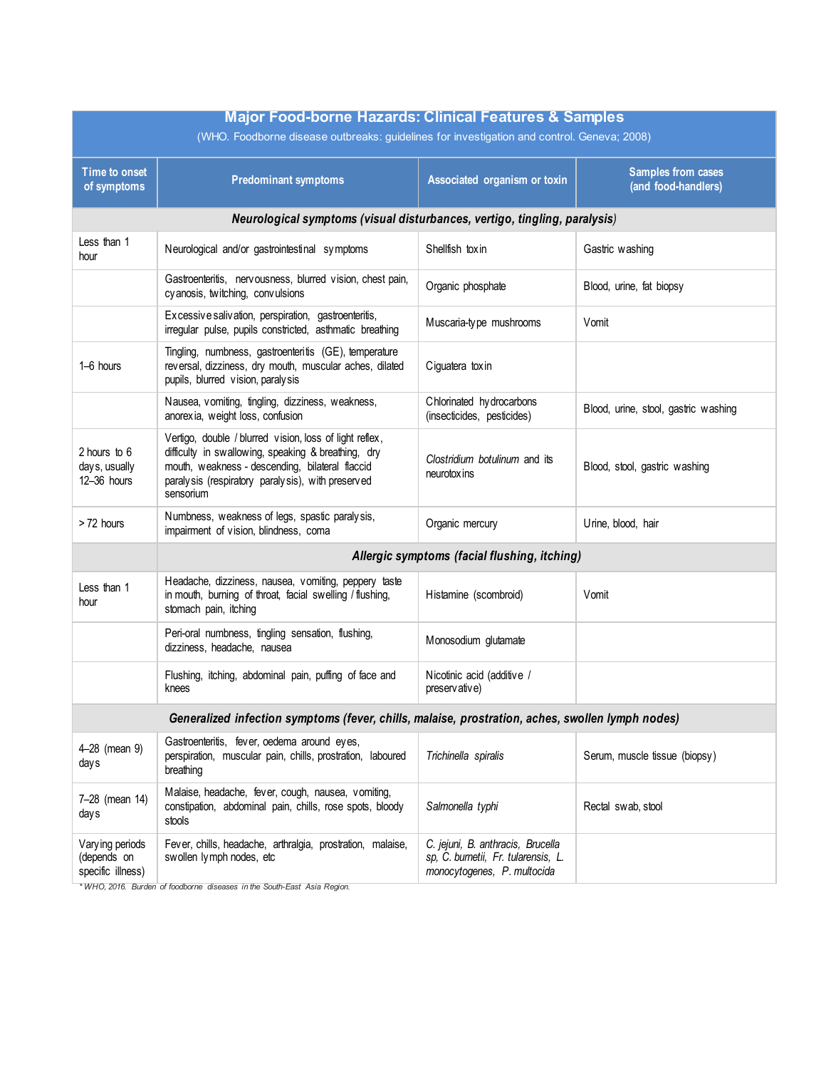| <b>Major Food-borne Hazards: Clinical Features &amp; Samples</b>                           |                                                                                                                                                                                                                                     |                                                                                                         |                                                  |  |  |  |
|--------------------------------------------------------------------------------------------|-------------------------------------------------------------------------------------------------------------------------------------------------------------------------------------------------------------------------------------|---------------------------------------------------------------------------------------------------------|--------------------------------------------------|--|--|--|
| (WHO. Foodborne disease outbreaks: guidelines for investigation and control. Geneva; 2008) |                                                                                                                                                                                                                                     |                                                                                                         |                                                  |  |  |  |
| <b>Time to onset</b><br>of symptoms                                                        | <b>Predominant symptoms</b>                                                                                                                                                                                                         | Associated organism or toxin                                                                            | <b>Samples from cases</b><br>(and food-handlers) |  |  |  |
|                                                                                            | Neurological symptoms (visual disturbances, vertigo, tingling, paralysis)                                                                                                                                                           |                                                                                                         |                                                  |  |  |  |
| Less than 1<br>hour                                                                        | Neurological and/or gastrointestinal symptoms                                                                                                                                                                                       | Shellfish toxin                                                                                         | Gastric washing                                  |  |  |  |
|                                                                                            | Gastroenteritis, nervousness, blurred vision, chest pain,<br>cy anosis, twitching, convulsions                                                                                                                                      | Organic phosphate                                                                                       | Blood, urine, fat biopsy                         |  |  |  |
|                                                                                            | Excessive salivation, perspiration, gastroenteritis,<br>irregular pulse, pupils constricted, asthmatic breathing                                                                                                                    | Muscaria-type mushrooms                                                                                 | Vomit                                            |  |  |  |
| 1-6 hours                                                                                  | Tingling, numbness, gastroenteritis (GE), temperature<br>reversal, dizziness, dry mouth, muscular aches, dilated<br>pupils, blurred vision, paralysis                                                                               | Ciguatera toxin                                                                                         |                                                  |  |  |  |
|                                                                                            | Nausea, vomiting, tingling, dizziness, weakness,<br>anorexia, weight loss, confusion                                                                                                                                                | Chlorinated hydrocarbons<br>(insecticides, pesticides)                                                  | Blood, urine, stool, gastric washing             |  |  |  |
| 2 hours to 6<br>days, usually<br>12-36 hours                                               | Vertigo, double / blurred vision, loss of light reflex,<br>difficulty in swallowing, speaking & breathing, dry<br>mouth, weakness - descending, bilateral flaccid<br>paralysis (respiratory paralysis), with preserved<br>sensorium | Clostridium botulinum and its<br>neurotox ins                                                           | Blood, stool, gastric washing                    |  |  |  |
| >72 hours                                                                                  | Numbness, weakness of legs, spastic paralysis,<br>impairment of vision, blindness, coma                                                                                                                                             | Organic mercury                                                                                         | Urine, blood, hair                               |  |  |  |
|                                                                                            |                                                                                                                                                                                                                                     | Allergic symptoms (facial flushing, itching)                                                            |                                                  |  |  |  |
| Less than 1<br>hour                                                                        | Headache, dizziness, nausea, vomiting, peppery taste<br>in mouth, burning of throat, facial swelling / flushing,<br>stomach pain, itching                                                                                           | Histamine (scombroid)                                                                                   | Vomit                                            |  |  |  |
|                                                                                            | Peri-oral numbness, tingling sensation, flushing,<br>dizziness, headache, nausea                                                                                                                                                    | Monosodium glutamate                                                                                    |                                                  |  |  |  |
|                                                                                            | Flushing, itching, abdominal pain, puffing of face and<br>knees                                                                                                                                                                     | Nicotinic acid (additive /<br>preservative)                                                             |                                                  |  |  |  |
|                                                                                            | Generalized infection symptoms (fever, chills, malaise, prostration, aches, swollen lymph nodes)                                                                                                                                    |                                                                                                         |                                                  |  |  |  |
| 4-28 (mean 9)<br>days                                                                      | Gastroenteritis, fever, oedema around eyes,<br>perspiration, muscular pain, chills, prostration, laboured<br>breathing                                                                                                              | Trichinella spiralis                                                                                    | Serum, muscle tissue (biopsy)                    |  |  |  |
| 7-28 (mean 14)<br>days                                                                     | Malaise, headache, fever, cough, nausea, vomiting,<br>constipation, abdominal pain, chills, rose spots, bloody<br>stools                                                                                                            | Salmonella typhi                                                                                        | Rectal swab, stool                               |  |  |  |
| Varying periods<br>(depends on<br>specific illness)                                        | Fever, chills, headache, arthralgia, prostration, malaise,<br>swollen lymph nodes, etc                                                                                                                                              | C. jejuni, B. anthracis, Brucella<br>sp, C. burnetii, Fr. tularensis, L.<br>monocytogenes, P. multocida |                                                  |  |  |  |

*\* WHO, 2016. Burden of foodborne diseases in the South-East Asia Region.*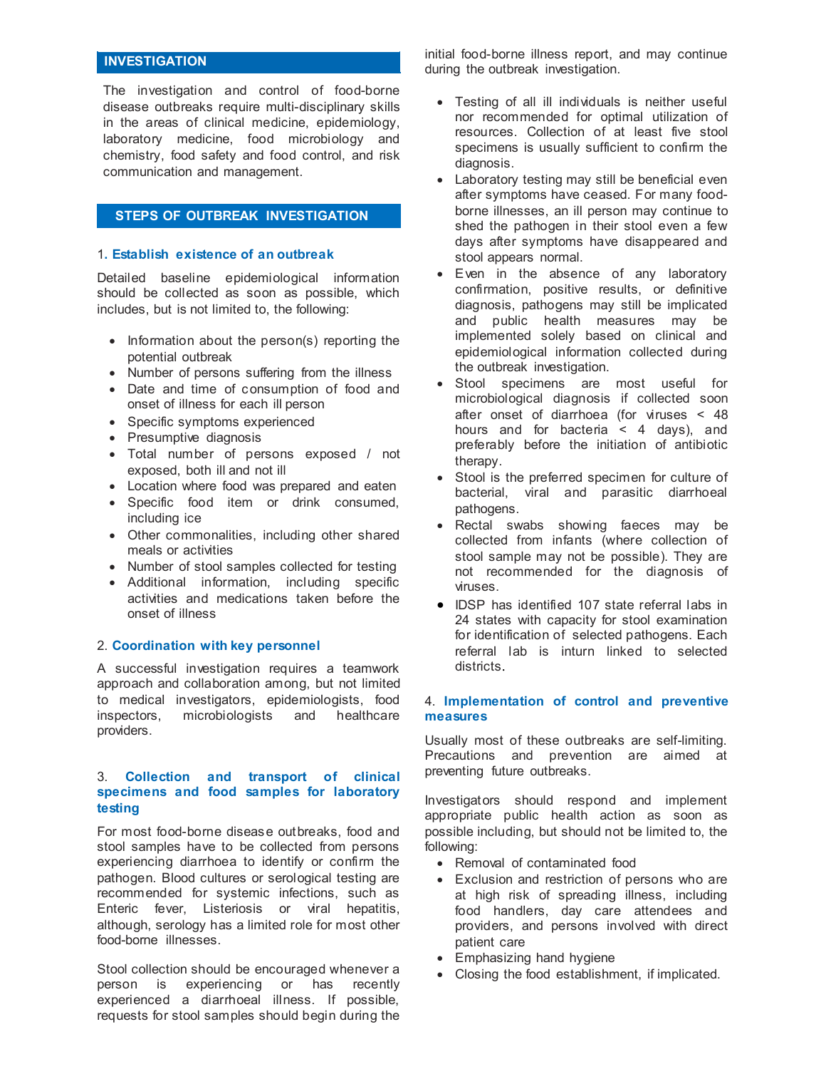#### **INVESTIGATION**

The investigation and control of food-borne disease outbreaks require multi-disciplinary skills in the areas of clinical medicine, epidemiology, laboratory medicine, food microbiology and chemistry, food safety and food control, and risk communication and management.

#### **STEPS OF OUTBREAK INVESTIGATION**

#### 1**. Establish existence of an outbreak**

Detailed baseline epidemiological information should be collected as soon as possible, which includes, but is not limited to, the following:

- Information about the person(s) reporting the potential outbreak
- Number of persons suffering from the illness
- Date and time of consumption of food and onset of illness for each ill person
- Specific symptoms experienced
- Presumptive diagnosis
- Total number of persons exposed / not exposed, both ill and not ill
- Location where food was prepared and eaten
- Specific food item or drink consumed, including ice
- Other commonalities, including other shared meals or activities
- Number of stool samples collected for testing
- Additional information, including specific activities and medications taken before the onset of illness

#### 2. **Coordination with key personnel**

A successful investigation requires a teamwork approach and collaboration among, but not limited to medical investigators, epidemiologists, food<br>inspectors, microbiologists and healthcare microbiologists and healthcare providers.

#### 3. **Collection and transport of clinical specimens and food samples for laboratory testing**

For most food-borne disease outbreaks, food and stool samples have to be collected from persons experiencing diarrhoea to identify or confirm the pathogen. Blood cultures or serological testing are recommended for systemic infections, such as Enteric fever, Listeriosis or viral hepatitis, although, serology has a limited role for most other food-borne illnesses.

Stool collection should be encouraged whenever a person is experiencing or has recently experienced a diarrhoeal illness. If possible, requests for stool samples should begin during the

initial food-borne illness report, and may continue during the outbreak investigation.

- Testing of all ill individuals is neither useful nor recommended for optimal utilization of resources. Collection of at least five stool specimens is usually sufficient to confirm the diagnosis.
- Laboratory testing may still be beneficial even after symptoms have ceased. For many foodborne illnesses, an ill person may continue to shed the pathogen in their stool even a few days after symptoms have disappeared and stool appears normal.
- Even in the absence of any laboratory confirmation, positive results, or definitive diagnosis, pathogens may still be implicated and public health measures may be implemented solely based on clinical and epidemiological information collected during the outbreak investigation.
- Stool specimens are most useful for microbiological diagnosis if collected soon after onset of diarrhoea (for viruses < 48 hours and for bacteria < 4 days), and preferably before the initiation of antibiotic therapy.
- Stool is the preferred specimen for culture of bacterial, viral and parasitic diarrhoeal pathogens.
- Rectal swabs showing faeces may be collected from infants (where collection of stool sample may not be possible). They are not recommended for the diagnosis of viruses.
- IDSP has identified 107 state referral labs in 24 states with capacity for stool examination for identification of selected pathogens. Each referral lab is inturn linked to selected districts.

#### 4. **Implementation of control and preventive measures**

Usually most of these outbreaks are self-limiting. Precautions and prevention are aimed at preventing future outbreaks.

Investigators should respond and implement appropriate public health action as soon as possible including, but should not be limited to, the following:

- Removal of contaminated food
- Exclusion and restriction of persons who are at high risk of spreading illness, including food handlers, day care attendees and providers, and persons involved with direct patient care
- Emphasizing hand hygiene
- Closing the food establishment, if implicated.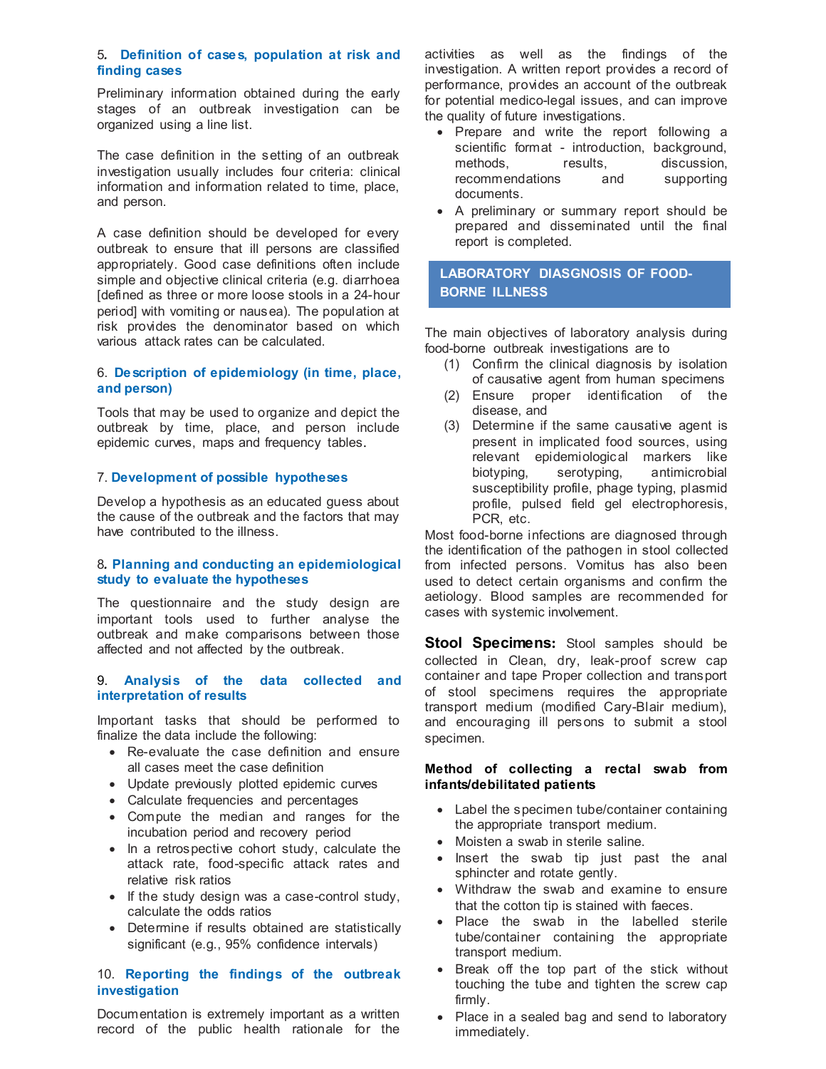#### 5*.* **Definition of cases, population at risk and finding cases**

Preliminary information obtained during the early stages of an outbreak investigation can be organized using a line list.

The case definition in the setting of an outbreak investigation usually includes four criteria: clinical information and information related to time, place, and person.

A case definition should be developed for every outbreak to ensure that ill persons are classified appropriately. Good case definitions often include simple and objective clinical criteria (e.g. diarrhoea [defined as three or more loose stools in a 24-hour period] with vomiting or nausea). The population at risk provides the denominator based on which various attack rates can be calculated.

#### 6. **Description of epidemiology (in time, place, and person)**

Tools that may be used to organize and depict the outbreak by time, place, and person include epidemic curves, maps and frequency tables.

#### 7. **Development of possible hypotheses**

Develop a hypothesis as an educated guess about the cause of the outbreak and the factors that may have contributed to the illness.

#### 8*.* **Planning and conducting an epidemiological study to evaluate the hypotheses**

The questionnaire and the study design are important tools used to further analyse the outbreak and make comparisons between those affected and not affected by the outbreak.

#### 9. **Analysis of the data collected and interpretation of results**

Important tasks that should be performed to finalize the data include the following:

- Re-evaluate the case definition and ensure all cases meet the case definition
- Update previously plotted epidemic curves
- Calculate frequencies and percentages
- Compute the median and ranges for the incubation period and recovery period
- In a retrospective cohort study, calculate the attack rate, food-specific attack rates and relative risk ratios
- If the study design was a case-control study, calculate the odds ratios
- Determine if results obtained are statistically significant (e.g., 95% confidence intervals)

#### 10. **Reporting the findings of the outbreak investigation**

Documentation is extremely important as a written record of the public health rationale for the activities as well as the findings of the investigation. A written report provides a record of performance, provides an account of the outbreak for potential medico-legal issues, and can improve the quality of future investigations.

- Prepare and write the report following a scientific format - introduction, background, methods, results, discussion,<br>recommendations and supporting recommendations and documents.
- A preliminary or summary report should be prepared and disseminated until the final report is completed.

#### LABORATORY DIAGOROOM OF FOOD **BORNE ILLNESS BORNE ILLNESSLABORATORY DIASGNOSIS OF FOOD-**

The main objectives of laboratory analysis during food-borne outbreak investigations are to

- (1) Confirm the clinical diagnosis by isolation of causative agent from human specimens
- (2) Ensure proper identification of the disease, and
- (3) Determine if the same causative agent is present in implicated food sources, using relevant epidemiological markers like<br>biotyping, serotyping, antimicrobial biotyping, serotyping, antimicrobial susceptibility profile, phage typing, plasmid profile, pulsed field gel electrophoresis, PCR, etc.

Most food-borne infections are diagnosed through the identification of the pathogen in stool collected from infected persons. Vomitus has also been used to detect certain organisms and confirm the aetiology. Blood samples are recommended for cases with systemic involvement.

**Stool Specimens:** Stool samples should be collected in Clean, dry, leak-proof screw cap container and tape Proper collection and transport of stool specimens requires the appropriate transport medium (modified Cary-Blair medium), and encouraging ill persons to submit a stool specimen.

#### **Method of collecting a rectal swab from infants/debilitated patients**

- Label the specimen tube/container containing the appropriate transport medium.
- Moisten a swab in sterile saline.
- Insert the swab tip just past the anal sphincter and rotate gently.
- Withdraw the swab and examine to ensure that the cotton tip is stained with faeces.
- Place the swab in the labelled sterile tube/container containing the appropriate transport medium.
- Break off the top part of the stick without touching the tube and tighten the screw cap firmly.
- Place in a sealed bag and send to laboratory immediately.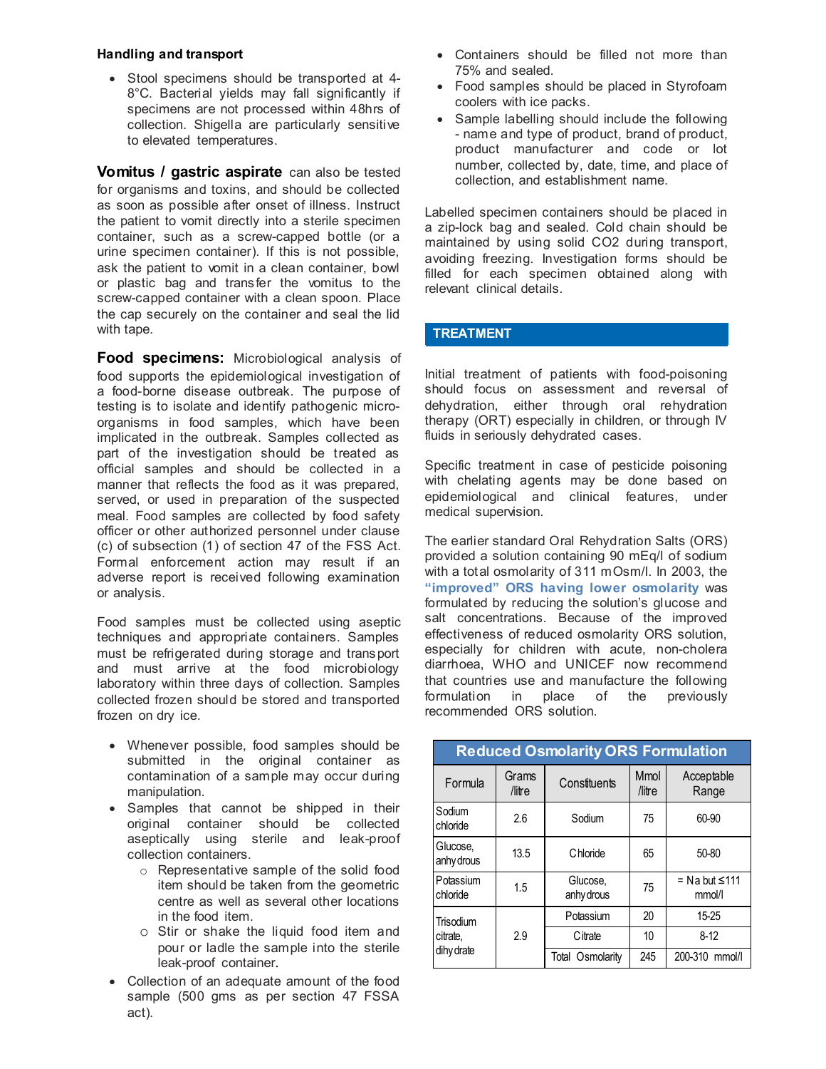#### **Handling and transport**

• Stool specimens should be transported at 4- 8°C. Bacterial yields may fall significantly if specimens are not processed within 48hrs of collection. Shigella are particularly sensitive to elevated temperatures.

**Vomitus / gastric aspirate** can also be tested for organisms and toxins, and should be collected as soon as possible after onset of illness. Instruct the patient to vomit directly into a sterile specimen container, such as a screw-capped bottle (or a urine specimen container). If this is not possible, ask the patient to vomit in a clean container, bowl or plastic bag and transfer the vomitus to the screw-capped container with a clean spoon. Place the cap securely on the container and seal the lid with tape.

**Food specimens:** Microbiological analysis of food supports the epidemiological investigation of a food-borne disease outbreak. The purpose of testing is to isolate and identify pathogenic microorganisms in food samples, which have been implicated in the outbreak. Samples collected as part of the investigation should be treated as official samples and should be collected in a manner that reflects the food as it was prepared, served, or used in preparation of the suspected meal. Food samples are collected by food safety officer or other authorized personnel under clause (c) of subsection (1) of section 47 of the FSS Act. Formal enforcement action may result if an adverse report is received following examination or analysis.

Food samples must be collected using aseptic techniques and appropriate containers. Samples must be refrigerated during storage and transport and must arrive at the food microbiology laboratory within three days of collection. Samples collected frozen should be stored and transported frozen on dry ice.

- Whenever possible, food samples should be submitted in the original container as contamination of a sample may occur during manipulation.
- Samples that cannot be shipped in their original container should be collected aseptically using sterile and leak-proof collection containers.
	- o Representative sample of the solid food item should be taken from the geometric centre as well as several other locations in the food item.
	- o Stir or shake the liquid food item and pour or ladle the sample into the sterile leak-proof container.
- Collection of an adequate amount of the food sample (500 gms as per section 47 FSSA act).
- Containers should be filled not more than 75% and sealed.
- Food samples should be placed in Styrofoam coolers with ice packs.
- Sample labelling should include the following - name and type of product, brand of product, product manufacturer and code or lot number, collected by, date, time, and place of collection, and establishment name.

Labelled specimen containers should be placed in a zip-lock bag and sealed. Cold chain should be maintained by using solid CO2 during transport, avoiding freezing. Investigation forms should be filled for each specimen obtained along with relevant clinical details.

#### **TREATMENT**

Initial treatment of patients with food-poisoning should focus on assessment and reversal of dehydration, either through oral rehydration therapy (ORT) especially in children, or through IV fluids in seriously dehydrated cases.

Specific treatment in case of pesticide poisoning with chelating agents may be done based on epidemiological and clinical features, under medical supervision.

The earlier standard Oral Rehydration Salts (ORS) provided a solution containing 90 mEq/l of sodium with a total osmolarity of 311 mOsm/l. In 2003, the **"improved" ORS having lower osmolarity** was formulated by reducing the solution's glucose and salt concentrations. Because of the improved effectiveness of reduced osmolarity ORS solution, especially for children with acute, non-cholera diarrhoea, WHO and UNICEF now recommend that countries use and manufacture the following formulation in place of the previously recommended ORS solution.

| <b>Reduced Osmolarity ORS Formulation</b> |                 |                        |                       |                                 |  |  |
|-------------------------------------------|-----------------|------------------------|-----------------------|---------------------------------|--|--|
| Formula                                   | Grams<br>/litre | Constituents           | <b>Mmol</b><br>/litre | Acceptable<br>Range             |  |  |
| Sodium<br>chloride                        | 2.6             | Sodium                 | 75<br>60-90           |                                 |  |  |
| Glucose,<br>anhy drous                    | 13.5            | Chloride               | 65                    | $50 - 80$                       |  |  |
| Potassium<br>chloride                     | 1.5             | Glucose,<br>anhy drous | 75                    | $=$ Na but $\leq$ 111<br>mmol/l |  |  |
| Trisodium                                 |                 | Potassium              | 20                    | 15-25                           |  |  |
| citrate.                                  | 2.9             | Citrate                | 10                    | $8-12$                          |  |  |
| dihy drate                                |                 | Total Osmolarity       | 245                   | 200-310 mmol/l                  |  |  |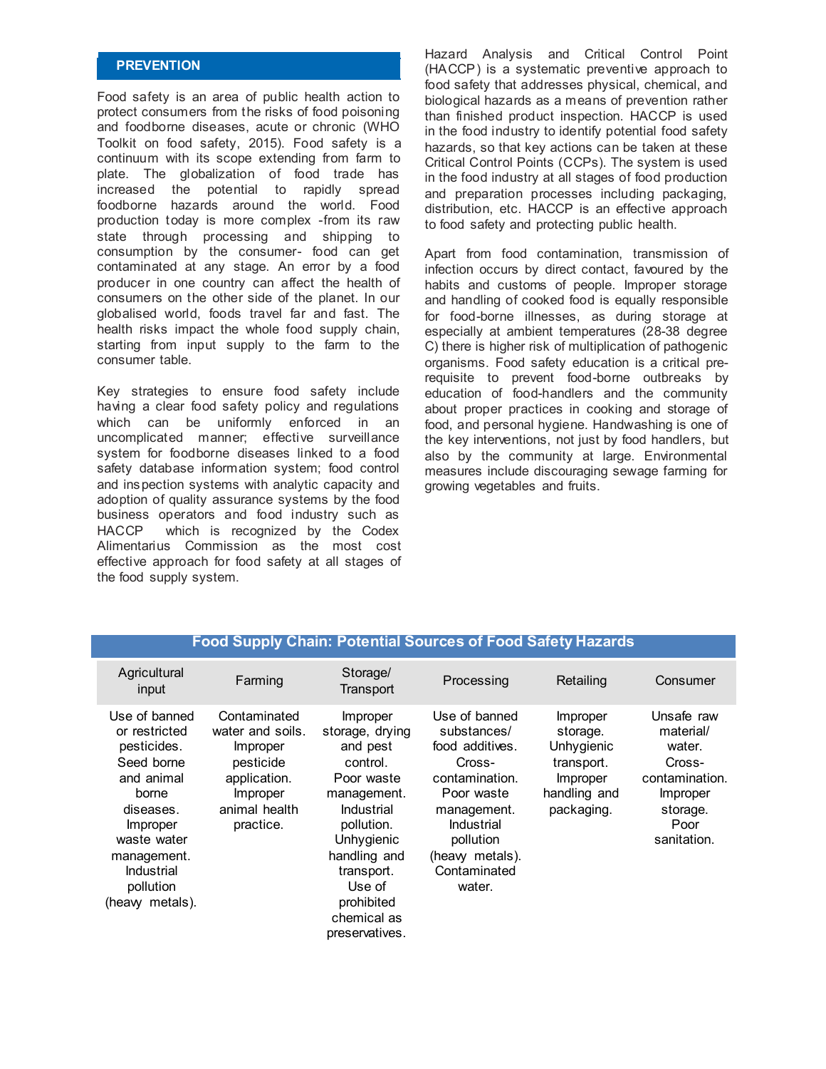#### **PREVENTION**

Food safety is an area of public health action to protect consumers from the risks of food poisoning and foodborne diseases, acute or chronic (WHO Toolkit on food safety, 2015). Food safety is a continuum with its scope extending from farm to plate. The globalization of food trade has increased the potential to rapidly spread foodborne hazards around the world. Food production today is more complex -from its raw state through processing and shipping to consumption by the consumer- food can get contaminated at any stage. An error by a food producer in one country can affect the health of consumers on the other side of the planet. In our globalised world, foods travel far and fast. The health risks impact the whole food supply chain, starting from input supply to the farm to the consumer table.

Key strategies to ensure food safety include having a clear food safety policy and regulations which can be uniformly enforced in an uncomplicated manner; effective surveillance system for foodborne diseases linked to a food safety database information system; food control and inspection systems with analytic capacity and adoption of quality assurance systems by the food business operators and food industry such as HACCP which is recognized by the Codex Alimentarius Commission as the most cost effective approach for food safety at all stages of the food supply system.

Hazard Analysis and Critical Control Point (HACCP) is a systematic preventive approach to food safety that addresses physical, chemical, and biological hazards as a means of prevention rather than finished product inspection. HACCP is used in the food industry to identify potential food safety hazards, so that key actions can be taken at these Critical Control Points (CCPs). The system is used in the food industry at all stages of food production and preparation processes including packaging, distribution, etc. HACCP is an effective approach to food safety and protecting public health.

Apart from food contamination, transmission of infection occurs by direct contact, favoured by the habits and customs of people. Improper storage and handling of cooked food is equally responsible for food-borne illnesses, as during storage at especially at ambient temperatures (28-38 degree C) there is higher risk of multiplication of pathogenic organisms. Food safety education is a critical prerequisite to prevent food-borne outbreaks by education of food-handlers and the community about proper practices in cooking and storage of food, and personal hygiene. Handwashing is one of the key interventions, not just by food handlers, but also by the community at large. Environmental measures include discouraging sewage farming for growing vegetables and fruits.

| <b>Food Supply Chain: Potential Sources of Food Safety Hazards</b>                                                                                                                      |                                                                                                                     |                                                                                                                                                                                                                   |                                                                                                                                                                                 |                                                                                            |                                                                                                              |  |
|-----------------------------------------------------------------------------------------------------------------------------------------------------------------------------------------|---------------------------------------------------------------------------------------------------------------------|-------------------------------------------------------------------------------------------------------------------------------------------------------------------------------------------------------------------|---------------------------------------------------------------------------------------------------------------------------------------------------------------------------------|--------------------------------------------------------------------------------------------|--------------------------------------------------------------------------------------------------------------|--|
| Agricultural<br>input                                                                                                                                                                   | Farming                                                                                                             | Storage/<br>Transport                                                                                                                                                                                             | Processing                                                                                                                                                                      | Retailing                                                                                  | Consumer                                                                                                     |  |
| Use of banned<br>or restricted<br>pesticides.<br>Seed borne<br>and animal<br>borne<br>diseases.<br>Improper<br>waste water<br>management.<br>Industrial<br>pollution<br>(heavy metals). | Contaminated<br>water and soils.<br>Improper<br>pesticide<br>application.<br>Improper<br>animal health<br>practice. | Improper<br>storage, drying<br>and pest<br>control.<br>Poor waste<br>management.<br>Industrial<br>pollution.<br>Unhygienic<br>handling and<br>transport.<br>Use of<br>prohibited<br>chemical as<br>preservatives. | Use of banned<br>substances/<br>food additives.<br>Cross-<br>contamination.<br>Poor waste<br>management.<br>Industrial<br>pollution<br>(heaw metals).<br>Contaminated<br>water. | Improper<br>storage.<br>Unhygienic<br>transport.<br>Improper<br>handling and<br>packaging. | Unsafe raw<br>material/<br>water.<br>Cross-<br>contamination.<br>Improper<br>storage.<br>Poor<br>sanitation. |  |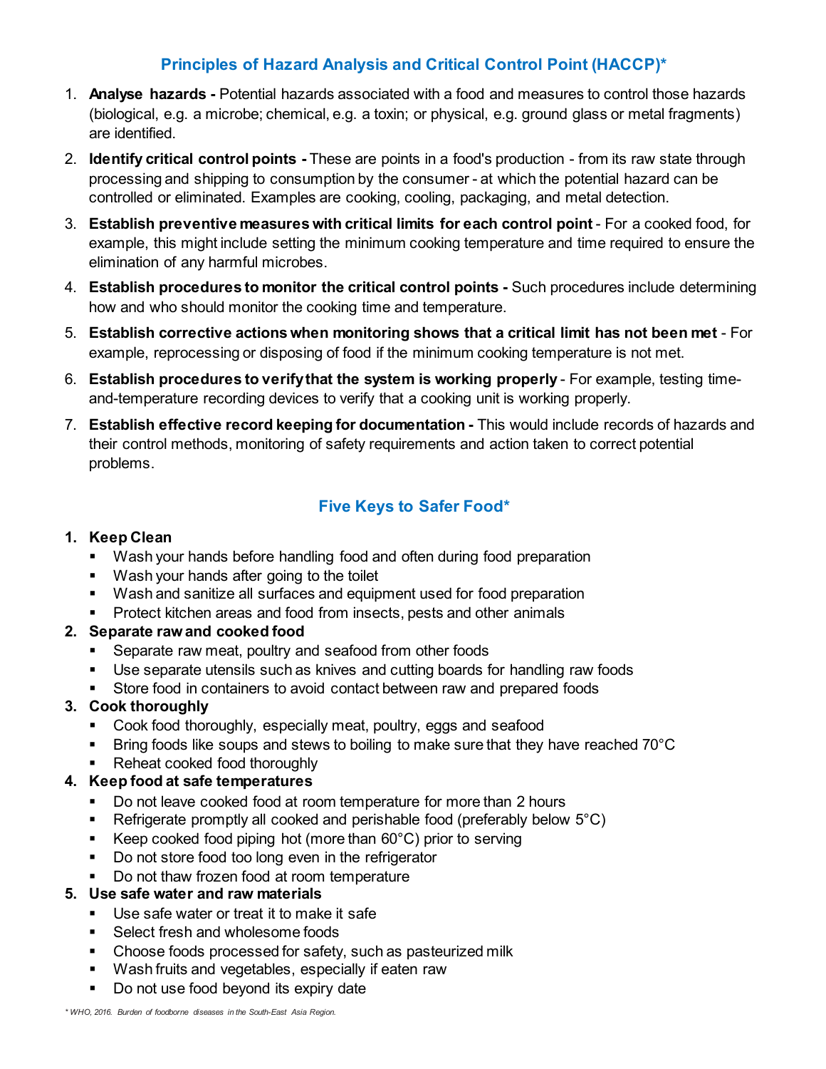## **Principles of Hazard Analysis and Critical Control Point (HACCP)\***

- 1. **Analyse hazards -** Potential hazards associated with a food and measures to control those hazards (biological, e.g. a microbe; chemical, e.g. a toxin; or physical, e.g. ground glass or metal fragments) are identified.
- 2. **Identify critical control points -** These are points in a food's production from its raw state through processing and shipping to consumption by the consumer - at which the potential hazard can be controlled or eliminated. Examples are cooking, cooling, packaging, and metal detection.
- 3. **Establish preventive measures with critical limits for each control point** For a cooked food, for example, this might include setting the minimum cooking temperature and time required to ensure the elimination of any harmful microbes.
- 4. **Establish procedures to monitor the critical control points -** Such procedures include determining how and who should monitor the cooking time and temperature.
- 5. **Establish corrective actions when monitoring shows that a critical limit has not been met** For example, reprocessing or disposing of food if the minimum cooking temperature is not met.
- 6. **Establish procedures to verify that the system is working properly** For example, testing timeand-temperature recording devices to verify that a cooking unit is working properly.
- 7. **Establish effective record keeping for documentation -** This would include records of hazards and their control methods, monitoring of safety requirements and action taken to correct potential problems.

## **Five Keys to Safer Food\***

## **1. Keep Clean**

- Wash your hands before handling food and often during food preparation
- **Wash your hands after going to the toilet**
- Wash and sanitize all surfaces and equipment used for food preparation
- **Protect kitchen areas and food from insects, pests and other animals**

## **2. Separate raw and cooked food**

- **Separate raw meat, poultry and seafood from other foods**
- Use separate utensils such as knives and cutting boards for handling raw foods
- Store food in containers to avoid contact between raw and prepared foods

## **3. Cook thoroughly**

- Cook food thoroughly, especially meat, poultry, eggs and seafood
- Bring foods like soups and stews to boiling to make sure that they have reached 70°C
- Reheat cooked food thoroughly

## **4. Keep food at safe temperatures**

- Do not leave cooked food at room temperature for more than 2 hours
- Refrigerate promptly all cooked and perishable food (preferably below  $5^{\circ}$ C)
- Keep cooked food piping hot (more than  $60^{\circ}$ C) prior to serving
- Do not store food too long even in the refrigerator
- Do not thaw frozen food at room temperature

## **5. Use safe water and raw materials**

- Use safe water or treat it to make it safe
- Select fresh and wholesome foods
- Choose foods processed for safety, such as pasteurized milk
- Wash fruits and vegetables, especially if eaten raw
- Do not use food beyond its expiry date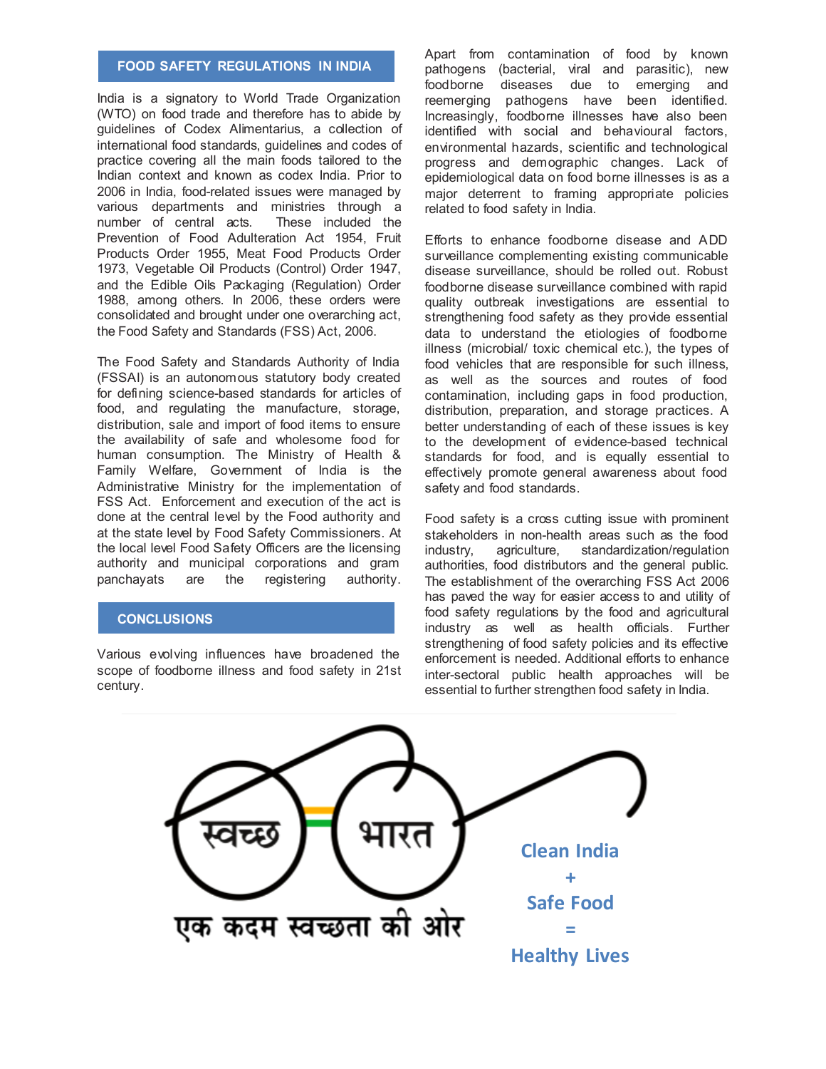#### **FOOD SAFETY REGULATIONS IN INDIA**

India is a signatory to World Trade Organization (WTO) on food trade and therefore has to abide by guidelines of Codex Alimentarius, a collection of international food standards, guidelines and codes of practice covering all the main foods tailored to the Indian context and known as codex India. Prior to 2006 in India, food-related issues were managed by various departments and ministries through a<br>number of central acts. These included the number of central acts. Prevention of Food Adulteration Act 1954, Fruit Products Order 1955, Meat Food Products Order 1973, Vegetable Oil Products (Control) Order 1947, and the Edible Oils Packaging (Regulation) Order 1988, among others. In 2006, these orders were consolidated and brought under one overarching act, the Food Safety and Standards (FSS) Act, 2006.

The Food Safety and Standards Authority of India (FSSAI) is an autonomous statutory body created for defining science-based standards for articles of food, and regulating the manufacture, storage, distribution, sale and import of food items to ensure the availability of safe and wholesome food for human consumption. The Ministry of Health & Family Welfare, Government of India is the Administrative Ministry for the implementation of FSS Act. Enforcement and execution of the act is done at the central level by the Food authority and at the state level by Food Safety Commissioners. At the local level Food Safety Officers are the licensing authority and municipal corporations and gram panchayats are the registering authority.

#### **CONCLUSIONS**

Various evolving influences have broadened the scope of foodborne illness and food safety in 21st century.

Apart from contamination of food by known pathogens (bacterial, viral and parasitic), new foodborne diseases due to emerging and reemerging pathogens have been identified. Increasingly, foodborne illnesses have also been identified with social and behavioural factors, environmental hazards, scientific and technological progress and demographic changes. Lack of epidemiological data on food borne illnesses is as a major deterrent to framing appropriate policies related to food safety in India.

Efforts to enhance foodborne disease and ADD surveillance complementing existing communicable disease surveillance, should be rolled out. Robust foodborne disease surveillance combined with rapid quality outbreak investigations are essential to strengthening food safety as they provide essential data to understand the etiologies of foodborne illness (microbial/ toxic chemical etc.), the types of food vehicles that are responsible for such illness, as well as the sources and routes of food contamination, including gaps in food production, distribution, preparation, and storage practices. A better understanding of each of these issues is key to the development of evidence-based technical standards for food, and is equally essential to effectively promote general awareness about food safety and food standards.

Food safety is a cross cutting issue with prominent stakeholders in non-health areas such as the food<br>industry, agriculture, standardization/regulation standardization/regulation authorities, food distributors and the general public. The establishment of the overarching FSS Act 2006 has paved the way for easier access to and utility of food safety regulations by the food and agricultural industry as well as health officials. Further strengthening of food safety policies and its effective enforcement is needed. Additional efforts to enhance inter-sectoral public health approaches will be essential to further strengthen food safety in India.

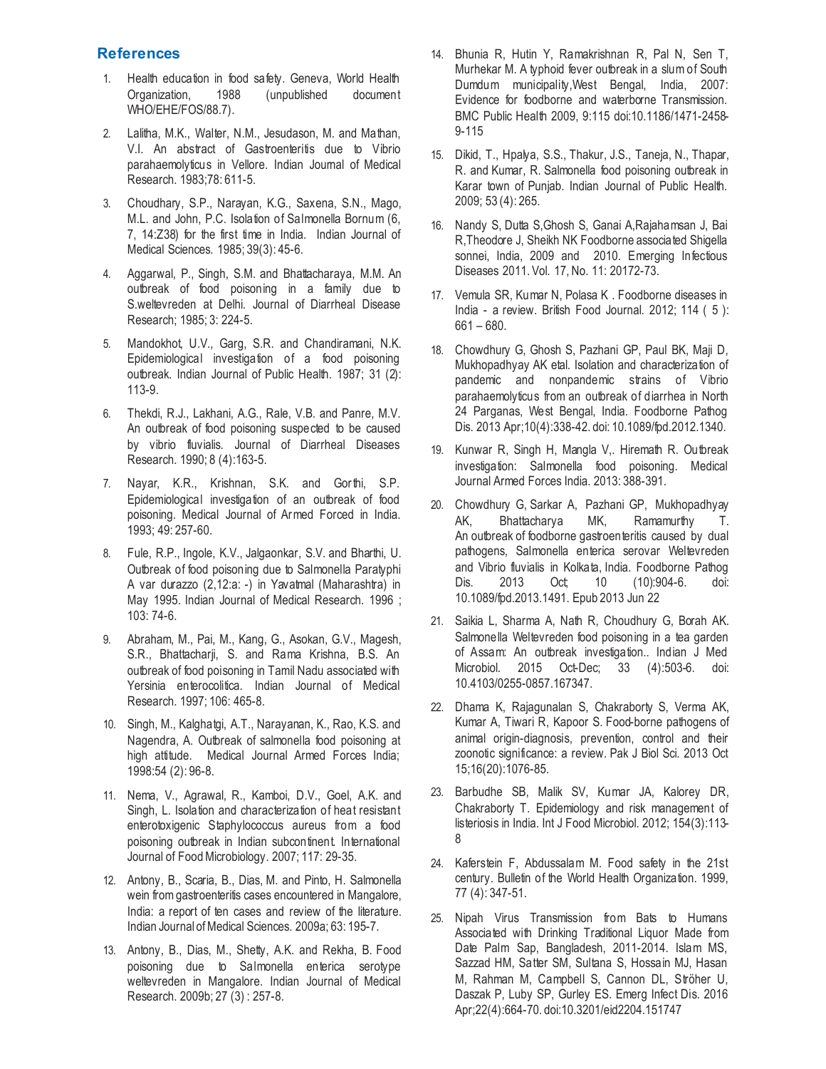#### **References**

- 1. Health education in food safety. Geneva, World Health Organization, 1988 (unpublished document WHO/EHE/FOS/88.7).
- 2. Lalitha, M.K., Walter, N.M., Jesudason, M. and Mathan, V.I. An abstract of Gastroenteritis due to Vibrio parahaemolyticus in Vellore. Indian Journal of Medical Research. 1983;78: 611-5.
- 3. Choudhary, S.P., Narayan, K.G., Saxena, S.N., Mago, M.L. and John, P.C. Isolation of Salmonella Bornum (6, 7, 14:Z38) for the first time in India. Indian Journal of Medical Sciences. 1985; 39(3): 45-6.
- 4. Aggarwal, P., Singh, S.M. and Bhattacharaya, M.M. An outbreak of food poisoning in a family due to S.weltevreden at Delhi. Journal of Diarrheal Disease Research; 1985; 3: 224-5.
- 5. Mandokhot, U.V., Garg, S.R. and Chandiramani, N.K. Epidemiological investigation of a food poisoning outbreak. Indian Journal of Public Health. 1987; 31 (2): 113-9.
- 6. Thekdi, R.J., Lakhani, A.G., Rale, V.B. and Panre, M.V. An outbreak of food poisoning suspected to be caused by vibrio fluvialis. Journal of Diarrheal Diseases Research. 1990; 8 (4):163-5.
- 7. Nayar, K.R., Krishnan, S.K. and Gorthi, S.P. Epidemiological investigation of an outbreak of food poisoning. Medical Journal of Armed Forced in India. 1993; 49: 257-60.
- 8. Fule, R.P., Ingole, K.V., Jalgaonkar, S.V. and Bharthi, U. Outbreak of food poisoning due to Salmonella Paratyphi A var durazzo (2,12:a: -) in Yavatmal (Maharashtra) in May 1995. Indian Journal of Medical Research. 1996 ; 103: 74-6.
- 9. Abraham, M., Pai, M., Kang, G., Asokan, G.V., Magesh, S.R., Bhattacharji, S. and Rama Krishna, B.S. An outbreak of food poisoning in Tamil Nadu associated with Yersinia enterocolitica. Indian Journal of Medical Research. 1997; 106: 465-8.
- 10. Singh, M., Kalghatgi, A.T., Narayanan, K., Rao, K.S. and Nagendra, A. Outbreak of salmonella food poisoning at high attitude. Medical Journal Armed Forces India; 1998:54 (2): 96-8.
- 11. Nema, V., Agrawal, R., Kamboi, D.V., Goel, A.K. and Singh, L. Isolation and characterization of heat resistant enterotoxigenic Staphylococcus aureus from a food poisoning outbreak in Indian subcontinent. International Journal of Food Microbiology. 2007; 117: 29-35.
- 12. Antony, B., Scaria, B., Dias, M. and Pinto, H. Salmonella wein from gastroenteritis cases encountered in Mangalore, India: a report of ten cases and review of the literature. Indian Journal of Medical Sciences. 2009a; 63: 195-7.
- 13. Antony, B., Dias, M., Shetty, A.K. and Rekha, B. Food poisoning due to Salmonella enterica serotype weltevreden in Mangalore. Indian Journal of Medical Research. 2009b; 27 (3) : 257-8.
- 14. Bhunia R, Hutin Y, Ramakrishnan R, Pal N, Sen T, Murhekar M. A typhoid fever outbreak in a slum of South Dumdum municipality,West Bengal, India, 2007: Evidence for foodborne and waterborne Transmission. BMC Public Health 2009, 9:115 doi:10.1186/1471-2458- 9-115
- 15. Dikid, T., Hpalya, S.S., Thakur, J.S., Taneja, N., Thapar, R. and Kumar, R. Salmonella food poisoning outbreak in Karar town of Punjab. Indian Journal of Public Health. 2009; 53 (4): 265.
- 16. Nandy S, Dutta S,Ghosh S, Ganai A,Rajahamsan J, Bai R,Theodore J, Sheikh NK Foodborne associated Shigella sonnei, India, 2009 and 2010. Emerging Infectious Diseases 2011. Vol. 17, No. 11: 20172-73.
- 17. Vemula SR, Kumar N, Polasa K . Foodborne diseases in India - a review. British Food Journal. 2012; 114 ( 5 ): 661 – 680.
- 18. Chowdhury G, Ghosh S, Pazhani GP, Paul BK, Maji D, Mukhopadhyay AK etal. Isolation and characterization of pandemic and nonpandemic strains of Vibrio parahaemolyticus from an outbreak of diarrhea in North 24 Parganas, West Bengal, India. Foodborne Pathog Dis. 2013 Apr;10(4):338-42. doi: 10.1089/fpd.2012.1340.
- 19. Kunwar R, Singh H, Mangla V,. Hiremath R. Outbreak investigation: Salmonella food poisoning. Medical Journal Armed Forces India. 2013: 388-391.
- 20. [Chowdhury G,](http://www.ncbi.nlm.nih.gov/pubmed/?term=Chowdhury%20G%5BAuthor%5D&cauthor=true&cauthor_uid=23789767) [Sarkar A,](http://www.ncbi.nlm.nih.gov/pubmed/?term=Sarkar%20A%5BAuthor%5D&cauthor=true&cauthor_uid=23789767) [Pazhani GP,](http://www.ncbi.nlm.nih.gov/pubmed/?term=Pazhani%20GP%5BAuthor%5D&cauthor=true&cauthor_uid=23789767) [Mukhopadhyay](http://www.ncbi.nlm.nih.gov/pubmed/?term=Mukhopadhyay%20AK%5BAuthor%5D&cauthor=true&cauthor_uid=23789767)  [AK,](http://www.ncbi.nlm.nih.gov/pubmed/?term=Mukhopadhyay%20AK%5BAuthor%5D&cauthor=true&cauthor_uid=23789767) [Bhattacharya MK,](http://www.ncbi.nlm.nih.gov/pubmed/?term=Bhattacharya%20MK%5BAuthor%5D&cauthor=true&cauthor_uid=23789767) [Ramamurthy T.](http://www.ncbi.nlm.nih.gov/pubmed/?term=Ramamurthy%20T%5BAuthor%5D&cauthor=true&cauthor_uid=23789767) An outbreak of foodborne gastroenteritis caused by dual pathogens, Salmonella enterica serovar Weltevreden and Vibrio fluvialis in Kolkata, India. [Foodborne Pathog](https://www.ncbi.nlm.nih.gov/pubmed/?term=An+outbreak+of+foodborne+gastroenteritis+caused+by+dual+pathogens%2C+Salmonella+enterica+serovar+Weltevreden+and+Vibrio+fluvialis+in+Kolkata%2C+India)  [Dis.](https://www.ncbi.nlm.nih.gov/pubmed/?term=An+outbreak+of+foodborne+gastroenteritis+caused+by+dual+pathogens%2C+Salmonella+enterica+serovar+Weltevreden+and+Vibrio+fluvialis+in+Kolkata%2C+India) 2013 Oct; 10 (10):904-6. doi: 10.1089/fpd.2013.1491. Epub 2013 Jun 22
- 21. Saikia L, Sharma A, Nath R, Choudhury G, Borah AK. Salmonella Weltevreden food poisoning in a tea garden of Assam: An outbreak investigation.. Indian J Med Microbiol. 2015 Oct-Dec; 33 (4):503-6. doi: 10.4103/0255-0857.167347.
- 22. Dhama K, Rajagunalan S, Chakraborty S, Verma AK, Kumar A, Tiwari R, Kapoor S. Food-borne pathogens of animal origin-diagnosis, prevention, control and their zoonotic significance: a review. Pak J Biol Sci. 2013 Oct 15;16(20):1076-85.
- 23. Barbudhe SB, Malik SV, Kumar JA, Kalorey DR, Chakraborty T. Epidemiology and risk management of listeriosis in India. Int J Food Microbiol. 2012; 154(3):113- 8
- 24. Kaferstein F, Abdussalam M. Food safety in the 21st century. Bulletin of the World Health Organization. 1999, 77 (4): 347-51.
- 25. Nipah Virus Transmission from Bats to Humans Associated with Drinking Traditional Liquor Made from Date Palm Sap, Bangladesh, 2011-2014. [Islam MS,](https://www.ncbi.nlm.nih.gov/pubmed/?term=Islam%20MS%5BAuthor%5D&cauthor=true&cauthor_uid=26981928)  [Sazzad HM,](https://www.ncbi.nlm.nih.gov/pubmed/?term=Sazzad%20HM%5BAuthor%5D&cauthor=true&cauthor_uid=26981928) [Satter SM,](https://www.ncbi.nlm.nih.gov/pubmed/?term=Satter%20SM%5BAuthor%5D&cauthor=true&cauthor_uid=26981928) [Sultana S,](https://www.ncbi.nlm.nih.gov/pubmed/?term=Sultana%20S%5BAuthor%5D&cauthor=true&cauthor_uid=26981928) [Hossain MJ,](https://www.ncbi.nlm.nih.gov/pubmed/?term=Hossain%20MJ%5BAuthor%5D&cauthor=true&cauthor_uid=26981928) [Hasan](https://www.ncbi.nlm.nih.gov/pubmed/?term=Hasan%20M%5BAuthor%5D&cauthor=true&cauthor_uid=26981928)  [M,](https://www.ncbi.nlm.nih.gov/pubmed/?term=Hasan%20M%5BAuthor%5D&cauthor=true&cauthor_uid=26981928) [Rahman M,](https://www.ncbi.nlm.nih.gov/pubmed/?term=Rahman%20M%5BAuthor%5D&cauthor=true&cauthor_uid=26981928) [Campbell S,](https://www.ncbi.nlm.nih.gov/pubmed/?term=Campbell%20S%5BAuthor%5D&cauthor=true&cauthor_uid=26981928) [Cannon DL,](https://www.ncbi.nlm.nih.gov/pubmed/?term=Cannon%20DL%5BAuthor%5D&cauthor=true&cauthor_uid=26981928) [Ströher U,](https://www.ncbi.nlm.nih.gov/pubmed/?term=Str%C3%B6her%20U%5BAuthor%5D&cauthor=true&cauthor_uid=26981928)  [Daszak P,](https://www.ncbi.nlm.nih.gov/pubmed/?term=Daszak%20P%5BAuthor%5D&cauthor=true&cauthor_uid=26981928) [Luby SP,](https://www.ncbi.nlm.nih.gov/pubmed/?term=Luby%20SP%5BAuthor%5D&cauthor=true&cauthor_uid=26981928) [Gurley ES.](https://www.ncbi.nlm.nih.gov/pubmed/?term=Gurley%20ES%5BAuthor%5D&cauthor=true&cauthor_uid=26981928) [Emerg Infect Dis.](https://www.ncbi.nlm.nih.gov/pubmed/26981928) 2016 Apr;22(4):664-70. doi:10.3201/eid2204.151747